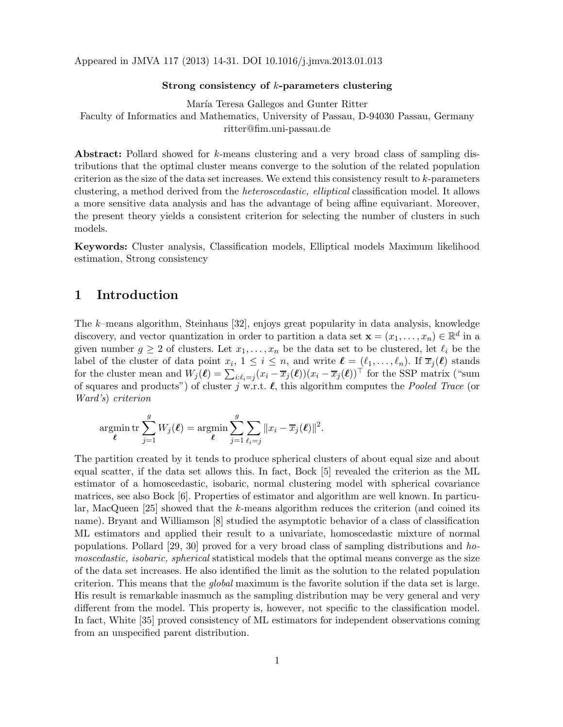Appeared in JMVA 117 (2013) 14-31. DOI 10.1016/j.jmva.2013.01.013

#### Strong consistency of k-parameters clustering

María Teresa Gallegos and Gunter Ritter Faculty of Informatics and Mathematics, University of Passau, D-94030 Passau, Germany ritter@fim.uni-passau.de

Abstract: Pollard showed for k-means clustering and a very broad class of sampling distributions that the optimal cluster means converge to the solution of the related population criterion as the size of the data set increases. We extend this consistency result to k-parameters clustering, a method derived from the heteroscedastic, elliptical classification model. It allows a more sensitive data analysis and has the advantage of being affine equivariant. Moreover, the present theory yields a consistent criterion for selecting the number of clusters in such models.

Keywords: Cluster analysis, Classification models, Elliptical models Maximum likelihood estimation, Strong consistency

# 1 Introduction

The k–means algorithm, Steinhaus [32], enjoys great popularity in data analysis, knowledge discovery, and vector quantization in order to partition a data set  $\mathbf{x} = (x_1, \dots, x_n) \in \mathbb{R}^d$  in a given number  $g \geq 2$  of clusters. Let  $x_1, \ldots, x_n$  be the data set to be clustered, let  $\ell_i$  be the label of the cluster of data point  $x_i, 1 \leq i \leq n$ , and write  $\ell = (\ell_1, \ldots, \ell_n)$ . If  $\overline{x}_j(\ell)$  stands for the cluster mean and  $W_j(\ell) = \sum_{i:\ell_i=j} (x_i - \overline{x}_j(\ell))(x_i - \overline{x}_j(\ell))^{\top}$  for the SSP matrix ("sum of squares and products") of cluster j w.r.t.  $\ell$ , this algorithm computes the *Pooled Trace* (or Ward's) criterion

$$
\operatorname*{argmin}_{\ell} \operatorname*{tr} \sum_{j=1}^{g} W_j(\ell) = \operatorname*{argmin}_{\ell} \sum_{j=1}^{g} \sum_{\ell_i=j} \|x_i - \overline{x}_j(\ell)\|^2.
$$

The partition created by it tends to produce spherical clusters of about equal size and about equal scatter, if the data set allows this. In fact, Bock [5] revealed the criterion as the ML estimator of a homoscedastic, isobaric, normal clustering model with spherical covariance matrices, see also Bock [6]. Properties of estimator and algorithm are well known. In particular, MacQueen  $[25]$  showed that the k-means algorithm reduces the criterion (and coined its name). Bryant and Williamson [8] studied the asymptotic behavior of a class of classification ML estimators and applied their result to a univariate, homoscedastic mixture of normal populations. Pollard [29, 30] proved for a very broad class of sampling distributions and homoscedastic, isobaric, spherical statistical models that the optimal means converge as the size of the data set increases. He also identified the limit as the solution to the related population criterion. This means that the global maximum is the favorite solution if the data set is large. His result is remarkable inasmuch as the sampling distribution may be very general and very different from the model. This property is, however, not specific to the classification model. In fact, White [35] proved consistency of ML estimators for independent observations coming from an unspecified parent distribution.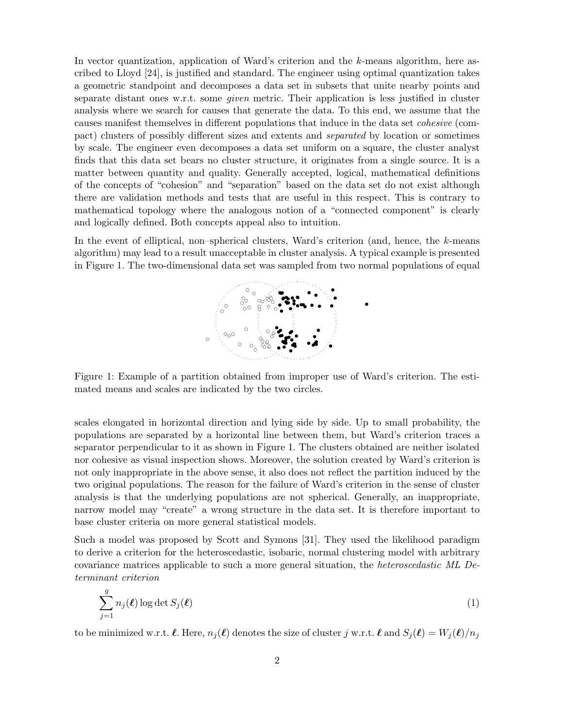In vector quantization, application of Ward's criterion and the k-means algorithm, here ascribed to Lloyd [24], is justified and standard. The engineer using optimal quantization takes a geometric standpoint and decomposes a data set in subsets that unite nearby points and separate distant ones w.r.t. some *given* metric. Their application is less justified in cluster analysis where we search for causes that generate the data. To this end, we assume that the causes manifest themselves in different populations that induce in the data set cohesive (compact) clusters of possibly different sizes and extents and separated by location or sometimes by scale. The engineer even decomposes a data set uniform on a square, the cluster analyst finds that this data set bears no cluster structure, it originates from a single source. It is a matter between quantity and quality. Generally accepted, logical, mathematical definitions of the concepts of "cohesion" and "separation" based on the data set do not exist although there are validation methods and tests that are useful in this respect. This is contrary to mathematical topology where the analogous notion of a "connected component" is clearly and logically defined. Both concepts appeal also to intuition.

In the event of elliptical, non–spherical clusters, Ward's criterion (and, hence, the k-means algorithm) may lead to a result unacceptable in cluster analysis. A typical example is presented in Figure 1. The two-dimensional data set was sampled from two normal populations of equal



Figure 1: Example of a partition obtained from improper use of Ward's criterion. The estimated means and scales are indicated by the two circles.

scales elongated in horizontal direction and lying side by side. Up to small probability, the populations are separated by a horizontal line between them, but Ward's criterion traces a separator perpendicular to it as shown in Figure 1. The clusters obtained are neither isolated nor cohesive as visual inspection shows. Moreover, the solution created by Ward's criterion is not only inappropriate in the above sense, it also does not reflect the partition induced by the two original populations. The reason for the failure of Ward's criterion in the sense of cluster analysis is that the underlying populations are not spherical. Generally, an inappropriate, narrow model may "create" a wrong structure in the data set. It is therefore important to base cluster criteria on more general statistical models.

Such a model was proposed by Scott and Symons [31]. They used the likelihood paradigm to derive a criterion for the heteroscedastic, isobaric, normal clustering model with arbitrary covariance matrices applicable to such a more general situation, the heteroscedastic ML Determinant criterion

$$
\sum_{j=1}^{g} n_j(\ell) \log \det S_j(\ell)
$$
 (1)

to be minimized w.r.t.  $\ell$ . Here,  $n_j(\ell)$  denotes the size of cluster j w.r.t.  $\ell$  and  $S_j(\ell) = W_j(\ell)/n_j$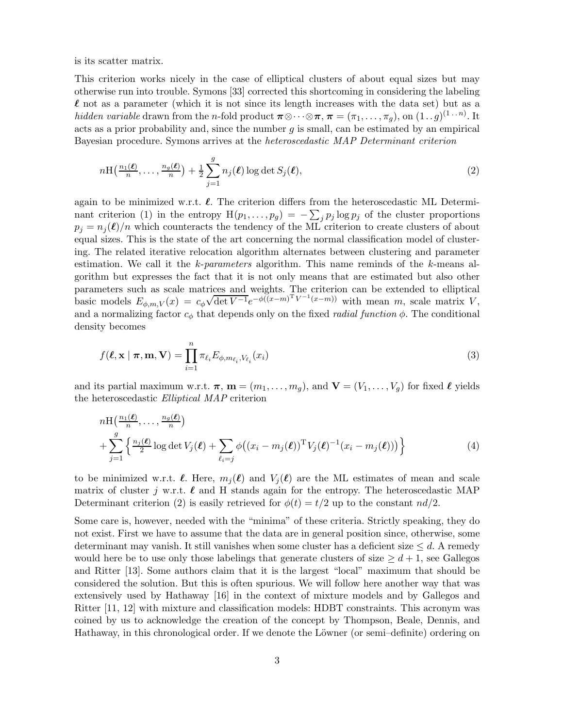is its scatter matrix.

This criterion works nicely in the case of elliptical clusters of about equal sizes but may otherwise run into trouble. Symons [33] corrected this shortcoming in considering the labeling  $\ell$  not as a parameter (which it is not since its length increases with the data set) but as a hidden variable drawn from the n-fold product  $\pi \otimes \cdots \otimes \pi$ ,  $\pi = (\pi_1, \ldots, \pi_g)$ , on  $(1 \cdot g)^{(1 \cdot \cdot n)}$ . It acts as a prior probability and, since the number  $g$  is small, can be estimated by an empirical Bayesian procedure. Symons arrives at the heteroscedastic MAP Determinant criterion

$$
n\mathrm{H}\left(\frac{n_1(\ell)}{n},\ldots,\frac{n_g(\ell)}{n}\right) + \frac{1}{2}\sum_{j=1}^g n_j(\ell)\log\det S_j(\ell),\tag{2}
$$

again to be minimized w.r.t.  $\ell$ . The criterion differs from the heteroscedastic ML Determinant criterion (1) in the entropy  $H(p_1, \ldots, p_g) = -\sum_j p_j \log p_j$  of the cluster proportions  $p_i = n_i(\ell)/n$  which counteracts the tendency of the ML criterion to create clusters of about equal sizes. This is the state of the art concerning the normal classification model of clustering. The related iterative relocation algorithm alternates between clustering and parameter estimation. We call it the k-parameters algorithm. This name reminds of the k-means algorithm but expresses the fact that it is not only means that are estimated but also other parameters such as scale matrices and weights. The criterion can be extended to elliptical basic models  $E_{\phi,m,V}(x) = c_{\phi} \sqrt{\det V^{-1}} e^{-\phi((x-m)^T V^{-1}(x-m))}$  with mean m, scale matrix V, and a normalizing factor  $c_{\phi}$  that depends only on the fixed *radial function*  $\phi$ . The conditional density becomes

$$
f(\ell, \mathbf{x} \mid \boldsymbol{\pi}, \mathbf{m}, \mathbf{V}) = \prod_{i=1}^{n} \pi_{\ell_i} E_{\phi, m_{\ell_i}, V_{\ell_i}}(x_i)
$$
\n(3)

and its partial maximum w.r.t.  $\boldsymbol{\pi}$ ,  $\mathbf{m} = (m_1, \ldots, m_g)$ , and  $\mathbf{V} = (V_1, \ldots, V_g)$  for fixed  $\ell$  yields the heteroscedastic Elliptical MAP criterion

$$
n\mathrm{H}\left(\frac{n_1(\ell)}{n},\ldots,\frac{n_g(\ell)}{n}\right) + \sum_{j=1}^g \left\{ \frac{n_j(\ell)}{2} \log \det V_j(\ell) + \sum_{\ell_i=j} \phi \big((x_i - m_j(\ell))^T V_j(\ell)^{-1} (x_i - m_j(\ell))\big) \right\} \tag{4}
$$

to be minimized w.r.t.  $\ell$ . Here,  $m_i(\ell)$  and  $V_i(\ell)$  are the ML estimates of mean and scale matrix of cluster j w.r.t.  $\ell$  and H stands again for the entropy. The heteroscedastic MAP Determinant criterion (2) is easily retrieved for  $\phi(t) = t/2$  up to the constant  $nd/2$ .

Some care is, however, needed with the "minima" of these criteria. Strictly speaking, they do not exist. First we have to assume that the data are in general position since, otherwise, some determinant may vanish. It still vanishes when some cluster has a deficient size  $\leq d$ . A remedy would here be to use only those labelings that generate clusters of size  $\geq d+1$ , see Gallegos and Ritter [13]. Some authors claim that it is the largest "local" maximum that should be considered the solution. But this is often spurious. We will follow here another way that was extensively used by Hathaway [16] in the context of mixture models and by Gallegos and Ritter [11, 12] with mixture and classification models: HDBT constraints. This acronym was coined by us to acknowledge the creation of the concept by Thompson, Beale, Dennis, and Hathaway, in this chronological order. If we denote the Löwner (or semi–definite) ordering on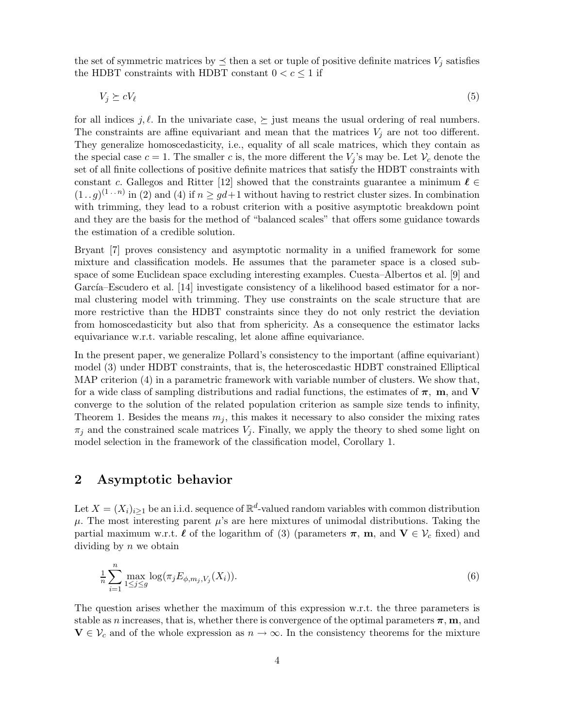the set of symmetric matrices by  $\preceq$  then a set or tuple of positive definite matrices  $V_i$  satisfies the HDBT constraints with HDBT constant  $0 < c \leq 1$  if

 $V_j \succeq cV_\ell$  (5)

for all indices j,  $\ell$ . In the univariate case,  $\succeq$  just means the usual ordering of real numbers. The constraints are affine equivariant and mean that the matrices  $V_i$  are not too different. They generalize homoscedasticity, i.e., equality of all scale matrices, which they contain as the special case  $c = 1$ . The smaller c is, the more different the  $V_i$ 's may be. Let  $V_c$  denote the set of all finite collections of positive definite matrices that satisfy the HDBT constraints with constant c. Gallegos and Ritter [12] showed that the constraints guarantee a minimum  $\ell \in$  $(1 \tildot g)^{(1+n)}$  in (2) and (4) if  $n \ge gd+1$  without having to restrict cluster sizes. In combination with trimming, they lead to a robust criterion with a positive asymptotic breakdown point and they are the basis for the method of "balanced scales" that offers some guidance towards the estimation of a credible solution.

Bryant [7] proves consistency and asymptotic normality in a unified framework for some mixture and classification models. He assumes that the parameter space is a closed subspace of some Euclidean space excluding interesting examples. Cuesta–Albertos et al. [9] and García–Escudero et al. [14] investigate consistency of a likelihood based estimator for a normal clustering model with trimming. They use constraints on the scale structure that are more restrictive than the HDBT constraints since they do not only restrict the deviation from homoscedasticity but also that from sphericity. As a consequence the estimator lacks equivariance w.r.t. variable rescaling, let alone affine equivariance.

In the present paper, we generalize Pollard's consistency to the important (affine equivariant) model (3) under HDBT constraints, that is, the heteroscedastic HDBT constrained Elliptical MAP criterion (4) in a parametric framework with variable number of clusters. We show that, for a wide class of sampling distributions and radial functions, the estimates of  $\pi$ , m, and V converge to the solution of the related population criterion as sample size tends to infinity, Theorem 1. Besides the means  $m_j$ , this makes it necessary to also consider the mixing rates  $\pi_j$  and the constrained scale matrices  $V_j$ . Finally, we apply the theory to shed some light on model selection in the framework of the classification model, Corollary 1.

# 2 Asymptotic behavior

Let  $X = (X_i)_{i \geq 1}$  be an i.i.d. sequence of  $\mathbb{R}^d$ -valued random variables with common distribution  $\mu$ . The most interesting parent  $\mu$ 's are here mixtures of unimodal distributions. Taking the partial maximum w.r.t.  $\ell$  of the logarithm of (3) (parameters  $\pi$ , m, and  $V \in V_c$  fixed) and dividing by  $n$  we obtain

$$
\frac{1}{n}\sum_{i=1}^{n}\max_{1\leq j\leq g}\log(\pi_{j}E_{\phi,m_{j},V_{j}}(X_{i})).
$$
\n(6)

The question arises whether the maximum of this expression w.r.t. the three parameters is stable as n increases, that is, whether there is convergence of the optimal parameters  $\pi$ , m, and  $V \in \mathcal{V}_c$  and of the whole expression as  $n \to \infty$ . In the consistency theorems for the mixture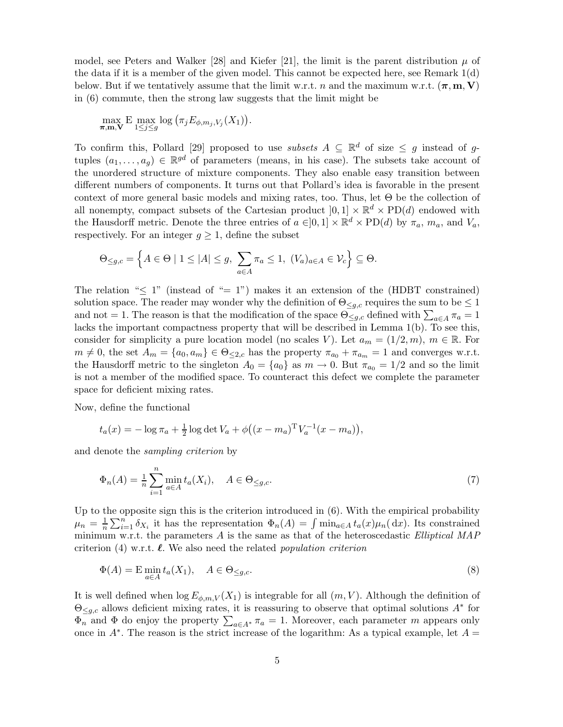model, see Peters and Walker [28] and Kiefer [21], the limit is the parent distribution  $\mu$  of the data if it is a member of the given model. This cannot be expected here, see Remark 1(d) below. But if we tentatively assume that the limit w.r.t. n and the maximum w.r.t.  $(\pi, m, V)$ in (6) commute, then the strong law suggests that the limit might be

$$
\max_{\boldsymbol{\pi},\mathbf{m},\mathbf{V}} \mathrm{E} \max_{1 \leq j \leq g} \log \big( \pi_j E_{\phi,m_j,V_j}(X_1) \big).
$$

To confirm this, Pollard [29] proposed to use *subsets*  $A \subseteq \mathbb{R}^d$  of size  $\leq g$  instead of gtuples  $(a_1, \ldots, a_g) \in \mathbb{R}^{gd}$  of parameters (means, in his case). The subsets take account of the unordered structure of mixture components. They also enable easy transition between different numbers of components. It turns out that Pollard's idea is favorable in the present context of more general basic models and mixing rates, too. Thus, let  $\Theta$  be the collection of all nonempty, compact subsets of the Cartesian product  $[0,1] \times \mathbb{R}^d \times \text{PD}(d)$  endowed with the Hausdorff metric. Denote the three entries of  $a \in ]0,1] \times \mathbb{R}^d \times \text{PD}(d)$  by  $\pi_a$ ,  $m_a$ , and  $V_a$ , respectively. For an integer  $g \geq 1$ , define the subset

$$
\Theta_{\leq g,c} = \left\{ A \in \Theta \mid 1 \leq |A| \leq g, \sum_{a \in A} \pi_a \leq 1, (V_a)_{a \in A} \in \mathcal{V}_c \right\} \subseteq \Theta.
$$

The relation " $\leq 1$ " (instead of " $= 1$ ") makes it an extension of the (HDBT constrained) solution space. The reader may wonder why the definition of  $\Theta_{\leq q,c}$  requires the sum to be  $\leq 1$ and not = 1. The reason is that the modification of the space  $\Theta_{\leq g,c}$  defined with  $\sum_{a\in A}\pi_a=1$ lacks the important compactness property that will be described in Lemma 1(b). To see this, consider for simplicity a pure location model (no scales V). Let  $a_m = (1/2, m)$ ,  $m \in \mathbb{R}$ . For  $m \neq 0$ , the set  $A_m = \{a_0, a_m\} \in \Theta_{\leq 2,c}$  has the property  $\pi_{a_0} + \pi_{a_m} = 1$  and converges w.r.t. the Hausdorff metric to the singleton  $A_0 = \{a_0\}$  as  $m \to 0$ . But  $\pi_{a_0} = 1/2$  and so the limit is not a member of the modified space. To counteract this defect we complete the parameter space for deficient mixing rates.

Now, define the functional

$$
t_a(x) = -\log \pi_a + \frac{1}{2}\log \det V_a + \phi((x - m_a)^T V_a^{-1}(x - m_a)),
$$

and denote the sampling criterion by

$$
\Phi_n(A) = \frac{1}{n} \sum_{i=1}^n \min_{a \in A} t_a(X_i), \quad A \in \Theta_{\leq g,c}.
$$
\n
$$
(7)
$$

Up to the opposite sign this is the criterion introduced in (6). With the empirical probability  $\mu_n = \frac{1}{n}$  $\frac{1}{n}\sum_{i=1}^n \delta_{X_i}$  it has the representation  $\Phi_n(A) = \int \min_{a \in A} t_a(x)\mu_n(dx)$ . Its constrained minimum w.r.t. the parameters  $A$  is the same as that of the heteroscedastic *Elliptical MAP* criterion (4) w.r.t.  $\ell$ . We also need the related population criterion

$$
\Phi(A) = \mathcal{E} \min_{a \in A} t_a(X_1), \quad A \in \Theta_{\leq g,c}.\tag{8}
$$

It is well defined when  $\log E_{\phi,m,V}(X_1)$  is integrable for all  $(m, V)$ . Although the definition of  $\Theta_{\leq g,c}$  allows deficient mixing rates, it is reassuring to observe that optimal solutions  $A^*$  for  $\Phi_n$  and  $\Phi$  do enjoy the property  $\sum_{a \in A^*} \pi_a = 1$ . Moreover, each parameter m appears only once in  $A^*$ . The reason is the strict increase of the logarithm: As a typical example, let  $A =$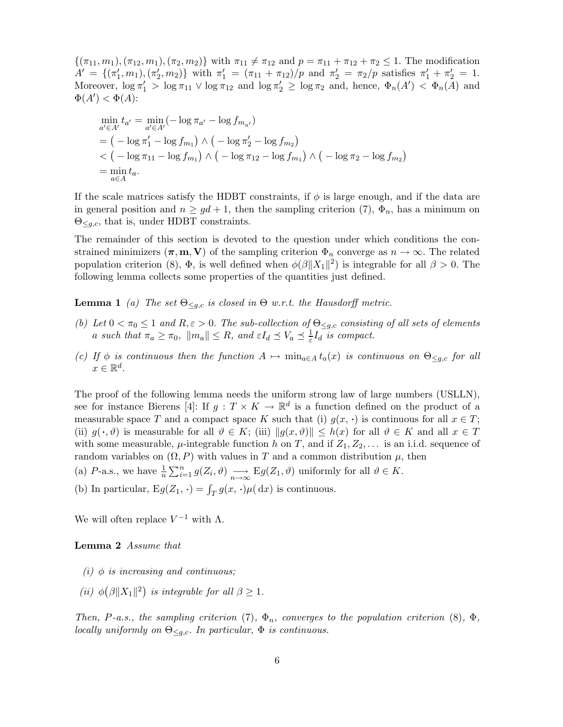$\{(\pi_{11}, m_1), (\pi_{12}, m_1), (\pi_2, m_2)\}\$  with  $\pi_{11} \neq \pi_{12}$  and  $p = \pi_{11} + \pi_{12} + \pi_2 \leq 1$ . The modification  $A' = \{(\pi'_1, m_1), (\pi'_2, m_2)\}$  with  $\pi'_1 = (\pi_{11} + \pi_{12})/p$  and  $\pi'_2 = \pi_2/p$  satisfies  $\pi'_1 + \pi'_2 = 1$ . Moreover,  $\log \pi_1' > \log \pi_{11} \vee \log \pi_{12}$  and  $\log \pi_2' \ge \log \pi_2$  and, hence,  $\Phi_n(A') < \Phi_n(A)$  and  $\Phi(A') < \Phi(A)$ :

$$
\min_{a' \in A'} t_{a'} = \min_{a' \in A'} (-\log \pi_{a'} - \log f_{m_{a'}})
$$
  
=  $(-\log \pi'_1 - \log f_{m_1}) \wedge (-\log \pi'_2 - \log f_{m_2})$   
<  $(-\log \pi_{11} - \log f_{m_1}) \wedge (-\log \pi_{12} - \log f_{m_1}) \wedge (-\log \pi_2 - \log f_{m_2})$   
=  $\min_{a \in A} t_a$ .

If the scale matrices satisfy the HDBT constraints, if  $\phi$  is large enough, and if the data are in general position and  $n \geq gd + 1$ , then the sampling criterion (7),  $\Phi_n$ , has a minimum on  $\Theta_{\leq g,c}$ , that is, under HDBT constraints.

The remainder of this section is devoted to the question under which conditions the constrained minimizers  $(\pi, m, V)$  of the sampling criterion  $\Phi_n$  converge as  $n \to \infty$ . The related population criterion (8),  $\Phi$ , is well defined when  $\phi(\beta||X_1||^2)$  is integrable for all  $\beta > 0$ . The following lemma collects some properties of the quantities just defined.

**Lemma 1** (a) The set  $\Theta_{\leq q,c}$  is closed in  $\Theta$  w.r.t. the Hausdorff metric.

- (b) Let  $0 < \pi_0 \leq 1$  and  $R, \varepsilon > 0$ . The sub-collection of  $\Theta_{\leq q,c}$  consisting of all sets of elements a such that  $\pi_a \ge \pi_0$ ,  $||m_a|| \le R$ , and  $\varepsilon I_d \preceq V_a \preceq \frac{1}{\varepsilon} I_d$  is compact.
- (c) If  $\phi$  is continuous then the function  $A \mapsto \min_{a \in A} t_a(x)$  is continuous on  $\Theta_{\leq q,c}$  for all  $x \in \mathbb{R}^d$ .

The proof of the following lemma needs the uniform strong law of large numbers (USLLN), see for instance Bierens [4]: If  $g: T \times K \to \mathbb{R}^d$  is a function defined on the product of a measurable space T and a compact space K such that (i)  $g(x, \cdot)$  is continuous for all  $x \in T$ ; (ii)  $g(\cdot, \vartheta)$  is measurable for all  $\vartheta \in K$ ; (iii)  $\|g(x, \vartheta)\| \leq h(x)$  for all  $\vartheta \in K$  and all  $x \in T$ with some measurable,  $\mu$ -integrable function h on T, and if  $Z_1, Z_2, \ldots$  is an i.i.d. sequence of random variables on  $(\Omega, P)$  with values in T and a common distribution  $\mu$ , then

- (a) P-a.s., we have  $\frac{1}{n} \sum_{i=1}^{n} g(Z_i, \vartheta) \longrightarrow_{n \to \infty} Eg(Z_1, \vartheta)$  uniformly for all  $\vartheta \in K$ .
- (b) In particular,  $Eg(Z_1, \cdot) = \int_T g(x, \cdot) \mu(\,dx)$  is continuous.

We will often replace  $V^{-1}$  with  $\Lambda$ .

#### Lemma 2 Assume that

- (i)  $\phi$  is increasing and continuous;
- (ii)  $\phi(\beta||X_1||^2)$  is integrable for all  $\beta \geq 1$ .

Then, P-a.s., the sampling criterion (7),  $\Phi_n$ , converges to the population criterion (8),  $\Phi$ , locally uniformly on  $\Theta_{\leq q,c}$ . In particular,  $\Phi$  is continuous.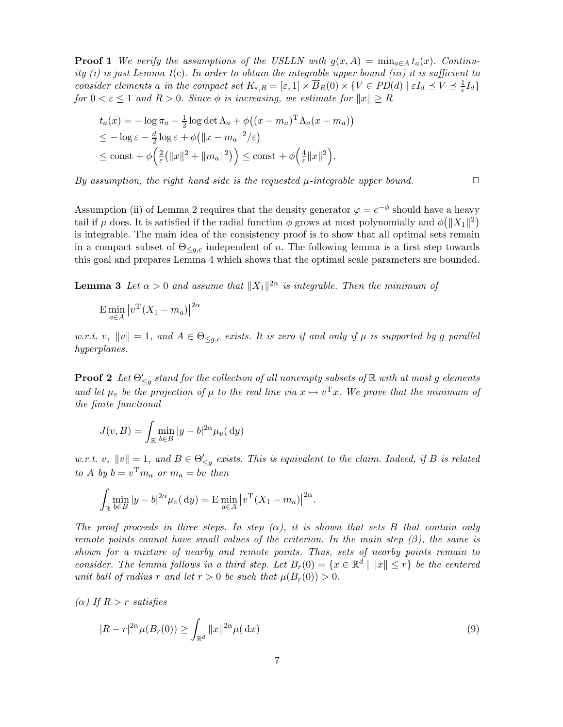**Proof 1** We verify the assumptions of the USLLN with  $g(x, A) = \min_{a \in A} t_a(x)$ . Continuity (i) is just Lemma  $1(c)$ . In order to obtain the integrable upper bound (iii) it is sufficient to consider elements a in the compact set  $K_{\varepsilon,R} = [\varepsilon,1] \times \overline{B}_R(0) \times \{V \in PD(d) \mid \varepsilon I_d \preceq V \preceq \frac{1}{\varepsilon} I_d\}$ for  $0 < \varepsilon \leq 1$  and  $R > 0$ . Since  $\phi$  is increasing, we estimate for  $||x|| \geq R$ 

$$
t_a(x) = -\log \pi_a - \frac{1}{2} \log \det \Lambda_a + \phi((x - m_a)^T \Lambda_a (x - m_a))
$$
  
\n
$$
\leq -\log \varepsilon - \frac{d}{2} \log \varepsilon + \phi(||x - m_a||^2/\varepsilon)
$$
  
\n
$$
\leq \text{const} + \phi\left(\frac{2}{\varepsilon} (||x||^2 + ||m_a||^2) \right) \leq \text{const} + \phi\left(\frac{4}{\varepsilon} ||x||^2 \right).
$$

By assumption, the right–hand side is the requested  $\mu$ -integrable upper bound.  $\Box$ 

Assumption (ii) of Lemma 2 requires that the density generator  $\varphi = e^{-\phi}$  should have a heavy tail if  $\mu$  does. It is satisfied if the radial function  $\phi$  grows at most polynomially and  $\phi(|X_1|^2)$ is integrable. The main idea of the consistency proof is to show that all optimal sets remain in a compact subset of  $\Theta_{\leq q,c}$  independent of n. The following lemma is a first step towards this goal and prepares Lemma 4 which shows that the optimal scale parameters are bounded.

**Lemma 3** Let  $\alpha > 0$  and assume that  $||X_1||^{2\alpha}$  is integrable. Then the minimum of

$$
\mathbf{E} \min_{a \in A} \left| v^{\mathrm{T}} (X_1 - m_a) \right|^{2\alpha}
$$

w.r.t. v,  $||v|| = 1$ , and  $A \in \Theta_{\leq g,c}$  exists. It is zero if and only if  $\mu$  is supported by g parallel hyperplanes.

**Proof 2** Let  $\Theta'_{\leq g}$  stand for the collection of all nonempty subsets of  $\mathbb R$  with at most g elements and let  $\mu_v$  be the projection of  $\mu$  to the real line via  $x \mapsto v^T x$ . We prove that the minimum of the finite functional

$$
J(v, B) = \int_{\mathbb{R}} \min_{b \in B} |y - b|^{2\alpha} \mu_v(\,\mathrm{d}y)
$$

w.r.t. v,  $||v|| = 1$ , and  $B \in \Theta'_{\leq g}$  exists. This is equivalent to the claim. Indeed, if B is related to A by  $b = v^{\mathrm{T}} m_a$  or  $m_a = bv$  then

$$
\int_{\mathbb{R}} \min_{b \in B} |y - b|^{2\alpha} \mu_v(\,\mathrm{d}y) = \mathrm{E} \min_{a \in A} |v^{\mathrm{T}}(X_1 - m_a)|^{2\alpha}.
$$

The proof proceeds in three steps. In step  $(\alpha)$ , it is shown that sets B that contain only remote points cannot have small values of the criterion. In the main step  $(\beta)$ , the same is shown for a mixture of nearby and remote points. Thus, sets of nearby points remain to consider. The lemma follows in a third step. Let  $B_r(0) = \{x \in \mathbb{R}^d \mid ||x|| \leq r\}$  be the centered unit ball of radius r and let  $r > 0$  be such that  $\mu(B_r(0)) > 0$ .

(α) If 
$$
R > r
$$
 satisfies

$$
|R - r|^{2\alpha} \mu(B_r(0)) \ge \int_{\mathbb{R}^d} ||x||^{2\alpha} \mu(\,\mathrm{d}x) \tag{9}
$$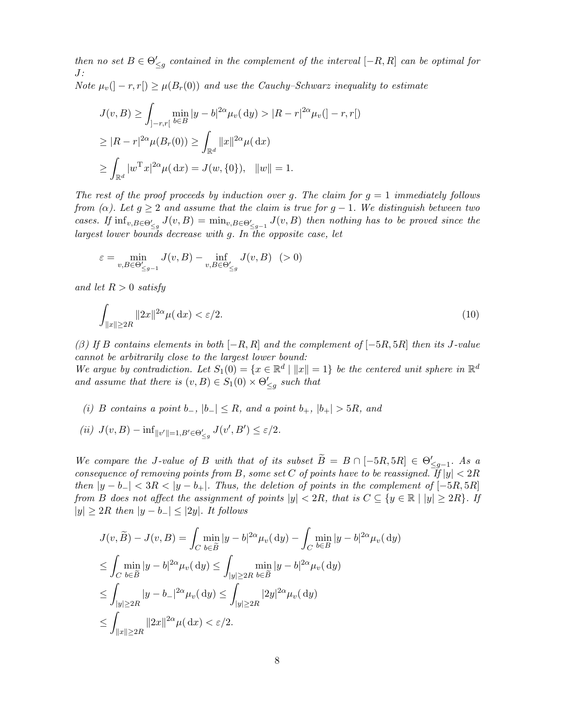then no set  $B \in \Theta'_{\leq g}$  contained in the complement of the interval  $[-R, R]$  can be optimal for J: Note  $\mu_v(|-r,r|) \geq \mu(B_r(0))$  and use the Cauchy–Schwarz inequality to estimate

$$
J(v, B) \ge \int_{]-r,r[} \min_{b \in B} |y - b|^{2\alpha} \mu_v(dy) > |R - r|^{2\alpha} \mu_v(]-r,r[)
$$
  
\n
$$
\ge |R - r|^{2\alpha} \mu(B_r(0)) \ge \int_{\mathbb{R}^d} ||x||^{2\alpha} \mu(dx)
$$
  
\n
$$
\ge \int_{\mathbb{R}^d} |w^{\mathrm{T}} x|^{2\alpha} \mu(dx) = J(w, \{0\}), \quad ||w|| = 1.
$$

The rest of the proof proceeds by induction over g. The claim for  $g = 1$  immediately follows from ( $\alpha$ ). Let  $g \geq 2$  and assume that the claim is true for  $g - 1$ . We distinguish between two cases. If  $\inf_{v,B\in\Theta_{\leq g}'} J(v,B) = \min_{v,B\in\Theta_{\leq g-1}'} J(v,B)$  then nothing has to be proved since the largest lower bounds decrease with g. In the opposite case, let

$$
\varepsilon = \min_{v,B\in \Theta_{\leq g-1}'} J(v,B) - \inf_{v,B\in \Theta_{\leq g}'} J(v,B) \quad (>0)
$$

and let  $R > 0$  satisfy

$$
\int_{\|x\| \ge 2R} \|2x\|^{2\alpha} \mu(\,\mathrm{d}x) < \varepsilon/2. \tag{10}
$$

(β) If B contains elements in both  $[-R, R]$  and the complement of  $[-5R, 5R]$  then its J-value cannot be arbitrarily close to the largest lower bound:

We argue by contradiction. Let  $S_1(0) = \{x \in \mathbb{R}^d \mid ||x|| = 1\}$  be the centered unit sphere in  $\mathbb{R}^d$ and assume that there is  $(v, B) \in S_1(0) \times \Theta'_{\leq g}$  such that

- (i) B contains a point b<sub>-</sub>,  $|b_-| \leq R$ , and a point  $b_+$ ,  $|b_+| > 5R$ , and
- (ii)  $J(v, B) \inf_{\|v'\|=1, B'\in \Theta'_{\leq g}} J(v', B') \leq \varepsilon/2.$

We compare the J-value of B with that of its subset  $\widetilde{B} = B \cap [-5R, 5R] \in \Theta'_{\leq g-1}$ . As a consequence of removing points from B, some set C of points have to be reassigned. If  $|y| < 2R$ then  $|y - b_-| < 3R < |y - b_+|$ . Thus, the deletion of points in the complement of  $[-5R, 5R]$ from B does not affect the assignment of points  $|y| < 2R$ , that is  $C \subseteq \{y \in \mathbb{R} \mid |y| \geq 2R\}$ . If  $|y| \geq 2R$  then  $|y - b_-| \leq |2y|$ . It follows

$$
J(v, \widetilde{B}) - J(v, B) = \int_C \min_{b \in \widetilde{B}} |y - b|^{2\alpha} \mu_v(\mathrm{d}y) - \int_C \min_{b \in B} |y - b|^{2\alpha} \mu_v(\mathrm{d}y)
$$
  
\n
$$
\leq \int_C \min_{b \in \widetilde{B}} |y - b|^{2\alpha} \mu_v(\mathrm{d}y) \leq \int_{|y| \geq 2R} \min_{b \in \widetilde{B}} |y - b|^{2\alpha} \mu_v(\mathrm{d}y)
$$
  
\n
$$
\leq \int_{|y| \geq 2R} |y - b|^{2\alpha} \mu_v(\mathrm{d}y) \leq \int_{|y| \geq 2R} |2y|^{2\alpha} \mu_v(\mathrm{d}y)
$$
  
\n
$$
\leq \int_{\|x\| \geq 2R} \|2x\|^{2\alpha} \mu(\mathrm{d}x) < \varepsilon/2.
$$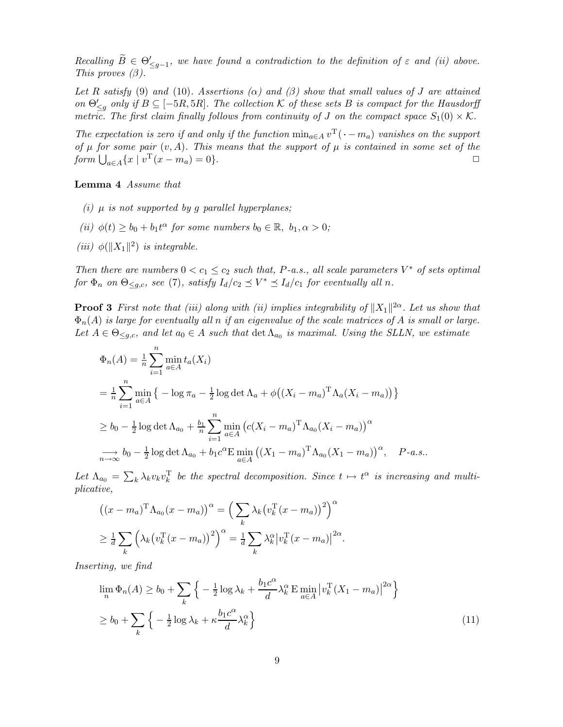Recalling  $\widetilde{B} \in \Theta'_{\leq g-1}$ , we have found a contradiction to the definition of  $\varepsilon$  and (ii) above. This proves  $(\beta)$ .

Let R satisfy (9) and (10). Assertions ( $\alpha$ ) and ( $\beta$ ) show that small values of J are attained on  $\Theta'_{\leq g}$  only if  $B \subseteq [-5R, 5R]$ . The collection K of these sets B is compact for the Hausdorff metric. The first claim finally follows from continuity of J on the compact space  $S_1(0) \times \mathcal{K}$ .

The expectation is zero if and only if the function  $\min_{a \in A} v^T(\cdot - m_a)$  vanishes on the support of  $\mu$  for some pair  $(v, A)$ . This means that the support of  $\mu$  is contained in some set of the form  $\bigcup_{a \in A} \{x \mid v^{\mathrm{T}}(x - m_a) = 0\}.$ 

Lemma 4 Assume that

- (i)  $\mu$  is not supported by q parallel hyperplanes;
- (ii)  $\phi(t) \ge b_0 + b_1 t^{\alpha}$  for some numbers  $b_0 \in \mathbb{R}, b_1, \alpha > 0$ ;
- (iii)  $\phi(||X_1||^2)$  is integrable.

Then there are numbers  $0 < c_1 \leq c_2$  such that, P-a.s., all scale parameters  $V^*$  of sets optimal for  $\Phi_n$  on  $\Theta_{\leq g,c}$ , see (7), satisfy  $I_d/c_2 \preceq V^* \preceq I_d/c_1$  for eventually all n.

**Proof 3** First note that (iii) along with (ii) implies integrability of  $||X_1||^{2\alpha}$ . Let us show that  $\Phi_n(A)$  is large for eventually all n if an eigenvalue of the scale matrices of A is small or large. Let  $A \in \Theta_{\leq g,c}$ , and let  $a_0 \in A$  such that  $\det \Lambda_{a_0}$  is maximal. Using the SLLN, we estimate

$$
\Phi_n(A) = \frac{1}{n} \sum_{i=1}^n \min_{a \in A} t_a(X_i)
$$
  
\n
$$
= \frac{1}{n} \sum_{i=1}^n \min_{a \in A} \left\{ -\log \pi_a - \frac{1}{2} \log \det \Lambda_a + \phi \big( (X_i - m_a)^{\mathrm{T}} \Lambda_a (X_i - m_a) \big) \right\}
$$
  
\n
$$
\geq b_0 - \frac{1}{2} \log \det \Lambda_{a_0} + \frac{b_1}{n} \sum_{i=1}^n \min_{a \in A} \left( c(X_i - m_a)^{\mathrm{T}} \Lambda_{a_0} (X_i - m_a) \right)^\alpha
$$
  
\n
$$
\implies b_0 - \frac{1}{2} \log \det \Lambda_{a_0} + b_1 c^\alpha \mathrm{E} \min_{a \in A} \left( (X_1 - m_a)^{\mathrm{T}} \Lambda_{a_0} (X_1 - m_a) \right)^\alpha, \quad P\text{-}a.s..
$$

Let  $\Lambda_{a_0} = \sum_k \lambda_k v_k v_k^{\mathrm{T}}$  be the spectral decomposition. Since  $t \mapsto t^{\alpha}$  is increasing and multiplicative,

$$
((x - m_a)^{\mathrm{T}} \Lambda_{a_0} (x - m_a))^{\alpha} = \left(\sum_k \lambda_k (v_k^{\mathrm{T}} (x - m_a))^2\right)^{\alpha}
$$

$$
\geq \frac{1}{d} \sum_k \left(\lambda_k (v_k^{\mathrm{T}} (x - m_a))^2\right)^{\alpha} = \frac{1}{d} \sum_k \lambda_k^{\alpha} |v_k^{\mathrm{T}} (x - m_a)|^{2\alpha}.
$$

Inserting, we find

$$
\lim_{n} \Phi_n(A) \ge b_0 + \sum_{k} \left\{ -\frac{1}{2} \log \lambda_k + \frac{b_1 c^{\alpha}}{d} \lambda_k^{\alpha} \mathbb{E} \min_{a \in A} \left| v_k^{\mathrm{T}} (X_1 - m_a) \right|^{2\alpha} \right\}
$$
\n
$$
\ge b_0 + \sum_{k} \left\{ -\frac{1}{2} \log \lambda_k + \kappa \frac{b_1 c^{\alpha}}{d} \lambda_k^{\alpha} \right\} \tag{11}
$$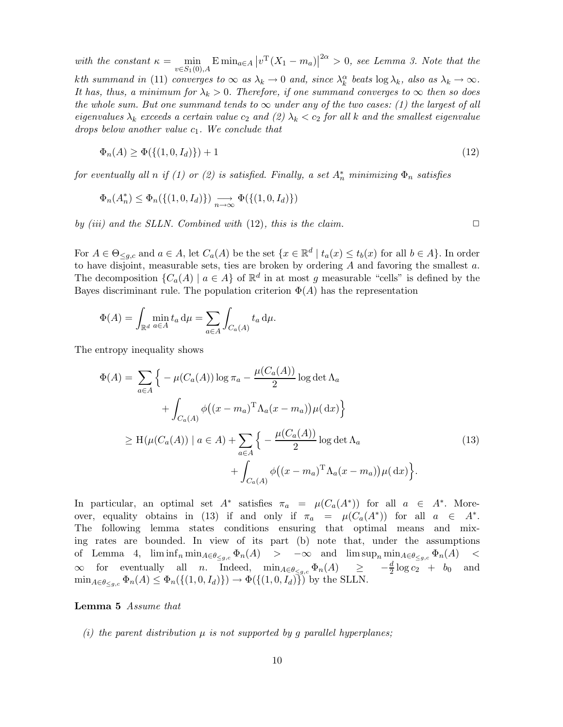with the constant  $\kappa = \min_{v \in S_1(0), A} \mathrm{E} \min_{a \in A} \left| v^{\mathrm{T}}(X_1 - m_a) \right|^{2\alpha} > 0$ , see Lemma 3. Note that the kth summand in (11) converges to  $\infty$  as  $\lambda_k \to 0$  and, since  $\lambda_k^{\alpha}$  beats  $\log \lambda_k$ , also as  $\lambda_k \to \infty$ . It has, thus, a minimum for  $\lambda_k > 0$ . Therefore, if one summand converges to  $\infty$  then so does the whole sum. But one summand tends to  $\infty$  under any of the two cases: (1) the largest of all eigenvalues  $\lambda_k$  exceeds a certain value  $c_2$  and (2)  $\lambda_k < c_2$  for all k and the smallest eigenvalue drops below another value  $c_1$ . We conclude that

$$
\Phi_n(A) \ge \Phi(\{(1, 0, I_d)\}) + 1 \tag{12}
$$

for eventually all n if (1) or (2) is satisfied. Finally, a set  $A_n^*$  minimizing  $\Phi_n$  satisfies

$$
\Phi_n(A_n^*) \le \Phi_n(\{(1,0,I_d)\}) \underset{n \to \infty}{\longrightarrow} \Phi(\{(1,0,I_d)\})
$$

by (iii) and the SLLN. Combined with  $(12)$ , this is the claim.

For  $A \in \Theta_{\leq g,c}$  and  $a \in A$ , let  $C_a(A)$  be the set  $\{x \in \mathbb{R}^d \mid t_a(x) \leq t_b(x)$  for all  $b \in A\}$ . In order to have disjoint, measurable sets, ties are broken by ordering  $A$  and favoring the smallest  $a$ . The decomposition  $\{C_a(A) \mid a \in A\}$  of  $\mathbb{R}^d$  in at most g measurable "cells" is defined by the Bayes discriminant rule. The population criterion  $\Phi(A)$  has the representation

$$
\Phi(A) = \int_{\mathbb{R}^d} \min_{a \in A} t_a \, \mathrm{d}\mu = \sum_{a \in A} \int_{C_a(A)} t_a \, \mathrm{d}\mu.
$$

The entropy inequality shows

$$
\Phi(A) = \sum_{a \in A} \Big\{ -\mu(C_a(A)) \log \pi_a - \frac{\mu(C_a(A))}{2} \log \det \Lambda_a
$$
  
+ 
$$
\int_{C_a(A)} \phi((x - m_a)^T \Lambda_a(x - m_a)) \mu(dx) \Big\}
$$
  

$$
\geq H(\mu(C_a(A)) \mid a \in A) + \sum_{a \in A} \Big\{ -\frac{\mu(C_a(A))}{2} \log \det \Lambda_a
$$
  
+ 
$$
\int_{C_a(A)} \phi((x - m_a)^T \Lambda_a(x - m_a)) \mu(dx) \Big\}.
$$
 (13)

In particular, an optimal set  $A^*$  satisfies  $\pi_a = \mu(C_a(A^*))$  for all  $a \in A^*$ . Moreover, equality obtains in (13) if and only if  $\pi_a = \mu(C_a(A^*))$  for all  $a \in A^*$ . The following lemma states conditions ensuring that optimal means and mixing rates are bounded. In view of its part (b) note that, under the assumptions of Lemma 4,  $\liminf_n \min_{A \in \theta \le g,c} \Phi_n(A)$  >  $-\infty$  and  $\limsup_n \min_{A \in \theta \le g,c} \Phi_n(A)$  <  $\infty$  for eventually all *n*. Indeed,  $\min_{A \in \theta_{\leq g,c}} \Phi_n(A) \geq -\frac{d}{2} \log c_2 + b_0$  and  $\min_{A \in \theta_{\leq a,c}} \Phi_n(A) \leq \Phi_n(\{(1,0,I_d)\}) \to \Phi(\{(1,0,I_d)\})$  by the SLLN.

### Lemma 5 Assume that

(i) the parent distribution  $\mu$  is not supported by g parallel hyperplanes;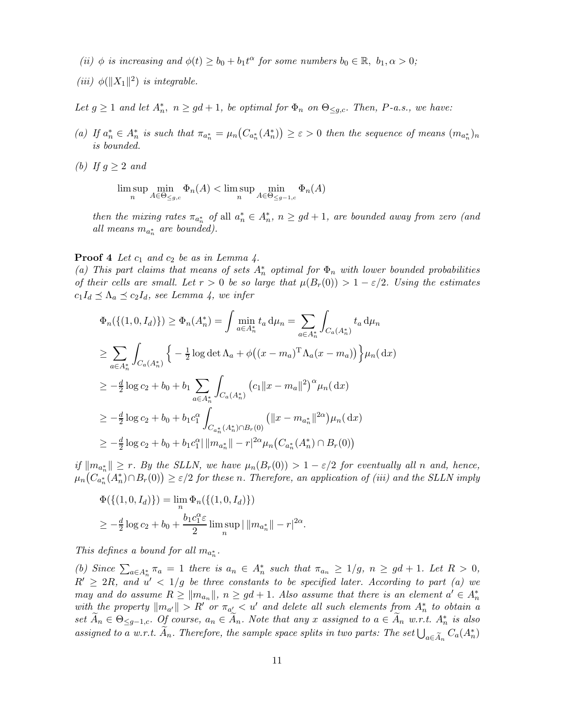- (ii)  $\phi$  is increasing and  $\phi(t) \ge b_0 + b_1 t^{\alpha}$  for some numbers  $b_0 \in \mathbb{R}, b_1, \alpha > 0$ ;
- (iii)  $\phi(||X_1||^2)$  is integrable.

Let  $g \ge 1$  and let  $A_n^*$ ,  $n \ge gd+1$ , be optimal for  $\Phi_n$  on  $\Theta_{\le g,c}$ . Then, P-a.s., we have:

- (a) If  $a_n^* \in A_n^*$  is such that  $\pi_{a_n^*} = \mu_n(C_{a_n^*}(A_n^*)) \geq \varepsilon > 0$  then the sequence of means  $(m_{a_n^*})_n$ is bounded.
- (b) If  $g \geq 2$  and

 $\limsup_n \lim_{A \in \Theta_{\leq g,c}} \Phi_n(A) < \limsup_n \lim_{A \in \Theta_{\leq g-1,c}} \Phi_n(A)$ 

then the mixing rates  $\pi_{a_n^*}$  of all  $a_n^* \in A_n^*$ ,  $n \ge gd+1$ , are bounded away from zero (and all means  $m_{a_n^*}$  are bounded).

**Proof 4** Let  $c_1$  and  $c_2$  be as in Lemma 4.

(a) This part claims that means of sets  $A_n^*$  optimal for  $\Phi_n$  with lower bounded probabilities of their cells are small. Let  $r > 0$  be so large that  $\mu(B_r(0)) > 1 - \varepsilon/2$ . Using the estimates  $c_1I_d \preceq \Lambda_a \preceq c_2I_d$ , see Lemma 4, we infer

$$
\Phi_n(\{(1,0,I_d)\}) \ge \Phi_n(A_n^*) = \int \min_{a \in A_n^*} t_a d\mu_n = \sum_{a \in A_n^*} \int_{C_a(A_n^*)} t_a d\mu_n
$$
  
\n
$$
\ge \sum_{a \in A_n^*} \int_{C_a(A_n^*)} \left\{ -\frac{1}{2} \log \det \Lambda_a + \phi((x - m_a)^T \Lambda_a (x - m_a)) \right\} \mu_n(dx)
$$
  
\n
$$
\ge -\frac{d}{2} \log c_2 + b_0 + b_1 \sum_{a \in A_n^*} \int_{C_a(A_n^*)} (c_1 ||x - m_a||^2)^{\alpha} \mu_n(dx)
$$
  
\n
$$
\ge -\frac{d}{2} \log c_2 + b_0 + b_1 c_1^{\alpha} \int_{C_{a_n^*}(A_n^*) \cap B_r(0)} (||x - m_{a_n^*}||^{2\alpha}) \mu_n(dx)
$$
  
\n
$$
\ge -\frac{d}{2} \log c_2 + b_0 + b_1 c_1^{\alpha} ||m_{a_n^*}|| - r|^{2\alpha} \mu_n(C_{a_n^*}(A_n^*) \cap B_r(0))
$$

if  $||m_{a_n^*}|| \ge r$ . By the SLLN, we have  $\mu_n(B_r(0)) > 1 - \varepsilon/2$  for eventually all n and, hence,  $\mu_n(C_{a_n^*}(A_n^*) \cap B_r(0)) \geq \varepsilon/2$  for these n. Therefore, an application of (iii) and the SLLN imply

$$
\Phi(\{(1,0,I_d)\}) = \lim_n \Phi_n(\{(1,0,I_d)\})
$$
  
\n
$$
\geq -\frac{d}{2}\log c_2 + b_0 + \frac{b_1 c_1^{\alpha} \varepsilon}{2} \limsup_n ||m_{a_n^*}|| - r|^{2\alpha}.
$$

This defines a bound for all  $m_{a_n^*}$ .

(b) Since  $\sum_{a\in A_n^*} \pi_a = 1$  there is  $a_n \in A_n^*$  such that  $\pi_{a_n} \geq 1/g$ ,  $n \geq gd+1$ . Let  $R > 0$ ,  $R' \geq 2R$ , and  $u' < 1/g$  be three constants to be specified later. According to part (a) we may and do assume  $R \ge ||m_{a_n}||$ ,  $n \ge gd + 1$ . Also assume that there is an element  $a' \in A_n^*$ with the property  $\|m_{a'}\| > R'$  or  $\pi_{a'} < u'$  and delete all such elements from  $A_n^*$  to obtain a set  $\tilde{A}_n \in \Theta_{\leq g-1,c}$ . Of course,  $a_n \in \tilde{A}_n$ . Note that any x assigned to  $a \in \tilde{A}_n$  w.r.t.  $A_n^*$  is also assigned to a w.r.t.  $\widetilde{A}_n$ . Therefore, the sample space splits in two parts: The set  $\bigcup_{a \in \widetilde{A}_n} C_a(A_n^*)$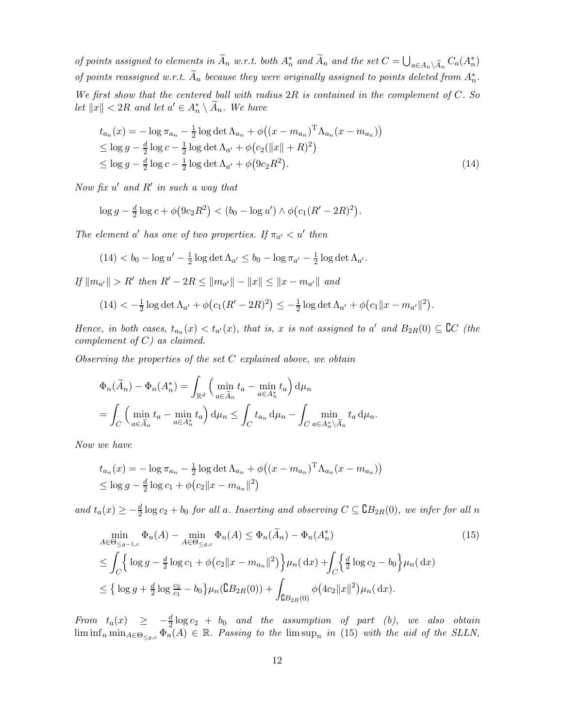of points assigned to elements in  $\widetilde{A}_n$  w.r.t. both  $A_n^*$  and  $\widetilde{A}_n$  and the set  $C = \bigcup_{a \in A_n \setminus \widetilde{A}_n} C_a(A_n^*)$ of points reassigned w.r.t.  $\widetilde{A}_n$  because they were originally assigned to points deleted from  $A_n^*$ . We first show that the centered ball with radius  $2R$  is contained in the complement of  $C.$  So let  $||x|| < 2R$  and let  $a' \in A_n^* \setminus \overline{A}_n$ . We have

$$
t_{a_n}(x) = -\log \pi_{a_n} - \frac{1}{2} \log \det \Lambda_{a_n} + \phi ((x - m_{a_n})^{\mathrm{T}} \Lambda_{a_n} (x - m_{a_n}))
$$
  
\n
$$
\leq \log g - \frac{d}{2} \log c - \frac{1}{2} \log \det \Lambda_{a'} + \phi (c_2(||x|| + R)^2)
$$
  
\n
$$
\leq \log g - \frac{d}{2} \log c - \frac{1}{2} \log \det \Lambda_{a'} + \phi (9c_2 R^2).
$$
\n(14)

Now fix  $u'$  and  $R'$  in such a way that

$$
\log g - \frac{d}{2} \log c + \phi(9c_2 R^2) < (b_0 - \log u') \wedge \phi(c_1 (R' - 2R)^2).
$$

The element a' has one of two properties. If  $\pi_{a'} < u'$  then

$$
(14) < b_0 - \log u' - \frac{1}{2} \log \det \Lambda_{a'} \le b_0 - \log \pi_{a'} - \frac{1}{2} \log \det \Lambda_{a'}.
$$

If  $||m_{a'}|| > R'$  then  $R' - 2R \le ||m_{a'}|| - ||x|| \le ||x - m_{a'}||$  and

$$
(14) < -\frac{1}{2}\log \det \Lambda_{a'} + \phi \big( c_1 (R' - 2R)^2 \big) \leq -\frac{1}{2}\log \det \Lambda_{a'} + \phi \big( c_1 \|x - m_{a'} \|^2 \big).
$$

Hence, in both cases,  $t_{a_n}(x) < t_{a'}(x)$ , that is, x is not assigned to a' and  $B_{2R}(0) \subseteq \mathbb{C}C$  (the complement of  $C$ ) as claimed.

Observing the properties of the set  $C$  explained above, we obtain

$$
\Phi_n(\widetilde{A}_n) - \Phi_n(A_n^*) = \int_{\mathbb{R}^d} \left( \min_{a \in \widetilde{A}_n} t_a - \min_{a \in A_n^*} t_a \right) d\mu_n
$$
  
= 
$$
\int_C \left( \min_{a \in \widetilde{A}_n} t_a - \min_{a \in A_n^*} t_a \right) d\mu_n \le \int_C t_{a_n} d\mu_n - \int_C \min_{a \in A_n^* \backslash \widetilde{A}_n} t_a d\mu_n.
$$

Now we have

$$
t_{a_n}(x) = -\log \pi_{a_n} - \frac{1}{2} \log \det \Lambda_{a_n} + \phi ((x - m_{a_n})^{\mathrm{T}} \Lambda_{a_n} (x - m_{a_n}))
$$
  
\$\leq \log g - \frac{d}{2} \log c\_1 + \phi (c\_2 ||x - m\_{a\_n}||^2)\$

and  $t_a(x) \geq -\frac{d}{2} \log c_2 + b_0$  for all a. Inserting and observing  $C \subseteq \mathbb{G}B_{2R}(0)$ , we infer for all n

$$
\min_{A \in \Theta_{\leq g-1,c}} \Phi_n(A) - \min_{A \in \Theta_{\leq g,c}} \Phi_n(A) \leq \Phi_n(\tilde{A}_n) - \Phi_n(A_n^*)
$$
\n
$$
\leq \int_C \left\{ \log g - \frac{d}{2} \log c_1 + \phi(c_2 \|x - m_{a_n}\|^2) \right\} \mu_n(\,\mathrm{d}x) + \int_C \left\{ \frac{d}{2} \log c_2 - b_0 \right\} \mu_n(\,\mathrm{d}x)
$$
\n
$$
\leq \left\{ \log g + \frac{d}{2} \log \frac{c_2}{c_1} - b_0 \right\} \mu_n(\mathsf{B}_{2R}(0)) + \int_{\mathsf{C}_{2R}(0)} \phi\big(4c_2 \|x\|^2\big) \mu_n(\,\mathrm{d}x).
$$
\n(15)

From  $t_a(x) \geq -\frac{d}{2} \log c_2 + b_0$  and the assumption of part (b), we also obtain  $\liminf_n \min_{A \in \Theta_{\leq g,c}} \Phi_n(A) \in \mathbb{R}$ . Passing to the  $\limsup_n$  in (15) with the aid of the SLLN,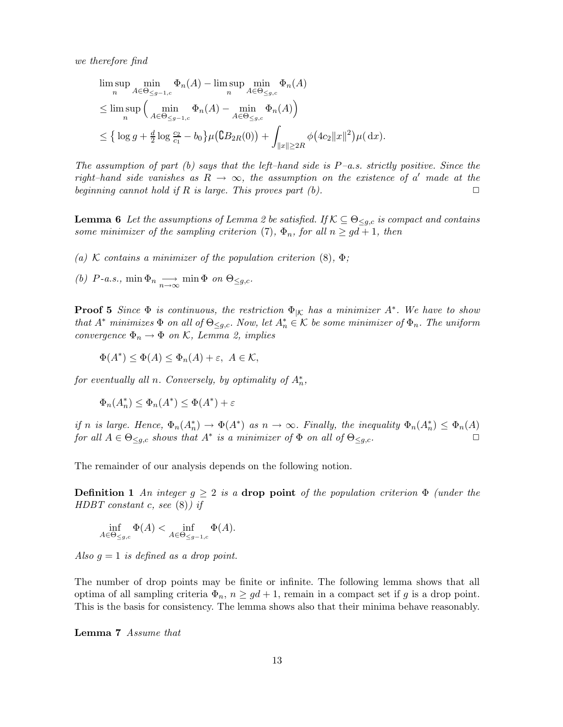we therefore find

$$
\limsup_{n} \limsup_{A \in \Theta_{\leq g-1,c}} \Phi_n(A) - \limsup_{n} \lim_{A \in \Theta_{\leq g,c}} \Phi_n(A)
$$
\n
$$
\leq \limsup_{n} \left( \min_{A \in \Theta_{\leq g-1,c}} \Phi_n(A) - \min_{A \in \Theta_{\leq g,c}} \Phi_n(A) \right)
$$
\n
$$
\leq \left\{ \log g + \frac{d}{2} \log \frac{c_2}{c_1} - b_0 \right\} \mu\left(\mathbb{C} B_{2R}(0)\right) + \int_{\|x\| \geq 2R} \phi\left(4c_2 \|x\|^2\right) \mu(\,\mathrm{d}x).
$$

The assumption of part (b) says that the left–hand side is  $P$ –a.s. strictly positive. Since the right–hand side vanishes as  $R \to \infty$ , the assumption on the existence of a' made at the beginning cannot hold if R is large. This proves part  $(b)$ .

**Lemma 6** Let the assumptions of Lemma 2 be satisfied. If  $K \subseteq \Theta_{\leq q,c}$  is compact and contains some minimizer of the sampling criterion (7),  $\Phi_n$ , for all  $n \geq gd+1$ , then

(a) K contains a minimizer of the population criterion  $(8)$ ,  $\Phi$ ;

(b)  $P$ -a.s., min  $\Phi_n \longrightarrow_{n \to \infty}$  min  $\Phi$  on  $\Theta_{\leq g,c}$ .

**Proof 5** Since  $\Phi$  is continuous, the restriction  $\Phi_{|\mathcal{K}}$  has a minimizer  $A^*$ . We have to show that  $A^*$  minimizes  $\Phi$  on all of  $\Theta_{\leq g,c}$ . Now, let  $A_n^* \in \mathcal{K}$  be some minimizer of  $\Phi_n$ . The uniform convergence  $\Phi_n \to \Phi$  on K, Lemma 2, implies

 $\Phi(A^*) \leq \Phi(A) \leq \Phi_n(A) + \varepsilon, \ A \in \mathcal{K},$ 

for eventually all n. Conversely, by optimality of  $A_n^*$ ,

$$
\Phi_n(A_n^*) \le \Phi_n(A^*) \le \Phi(A^*) + \varepsilon
$$

if n is large. Hence,  $\Phi_n(A_n^*) \to \Phi(A^*)$  as  $n \to \infty$ . Finally, the inequality  $\Phi_n(A_n^*) \leq \Phi_n(A)$ for all  $A \in \Theta_{\leq g,c}$  shows that  $A^*$  is a minimizer of  $\Phi$  on all of  $\Theta_{\leq g,c}$ .

The remainder of our analysis depends on the following notion.

**Definition 1** An integer  $g \geq 2$  is a **drop point** of the population criterion  $\Phi$  (under the HDBT constant c, see  $(8)$ ) if

$$
\inf_{A \in \Theta_{\leq g,c}} \Phi(A) < \inf_{A \in \Theta_{\leq g-1,c}} \Phi(A).
$$

Also  $g = 1$  is defined as a drop point.

The number of drop points may be finite or infinite. The following lemma shows that all optima of all sampling criteria  $\Phi_n$ ,  $n \geq gd+1$ , remain in a compact set if g is a drop point. This is the basis for consistency. The lemma shows also that their minima behave reasonably.

Lemma 7 Assume that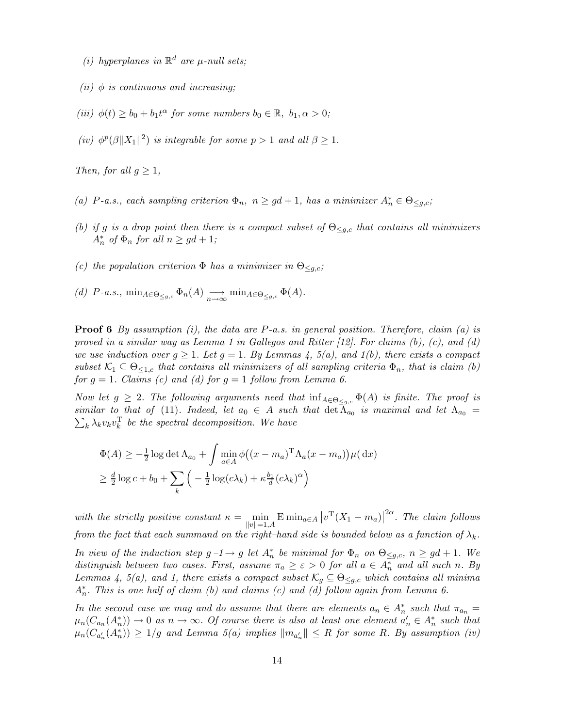- (i) hyperplanes in  $\mathbb{R}^d$  are  $\mu$ -null sets;
- (ii)  $\phi$  is continuous and increasing:
- (iii)  $\phi(t) \ge b_0 + b_1 t^{\alpha}$  for some numbers  $b_0 \in \mathbb{R}, b_1, \alpha > 0$ ;
- (iv)  $\phi^p(\beta||X_1||^2)$  is integrable for some  $p > 1$  and all  $\beta \geq 1$ .

Then, for all  $g \geq 1$ ,

- (a) P-a.s., each sampling criterion  $\Phi_n$ ,  $n \ge gd+1$ , has a minimizer  $A_n^* \in \Theta_{\le g,c}$ ;
- (b) if g is a drop point then there is a compact subset of  $\Theta_{\leq g,c}$  that contains all minimizers  $A_n^*$  of  $\Phi_n$  for all  $n \geq gd+1;$
- (c) the population criterion  $\Phi$  has a minimizer in  $\Theta_{\leq q,c}$ ;
- (d)  $P$ -a.s.,  $\min_{A \in \Theta_{\leq g,c}} \Phi_n(A) \longrightarrow_{n \to \infty} \min_{A \in \Theta_{\leq g,c}} \Phi(A)$ .

**Proof 6** By assumption (i), the data are P-a.s. in general position. Therefore, claim (a) is proved in a similar way as Lemma 1 in Gallegos and Ritter  $(12)$ . For claims  $(b)$ ,  $(c)$ , and  $(d)$ we use induction over  $g \geq 1$ . Let  $g = 1$ . By Lemmas 4, 5(a), and 1(b), there exists a compact subset  $\mathcal{K}_1 \subseteq \Theta_{\leq 1,c}$  that contains all minimizers of all sampling criteria  $\Phi_n$ , that is claim (b) for  $g = 1$ . Claims (c) and (d) for  $g = 1$  follow from Lemma 6.

Now let  $g \geq 2$ . The following arguments need that  $\inf_{A \in \Theta_{\leq a,c}} \Phi(A)$  is finite. The proof is similar to that of (11). Indeed, let  $a_0 \in A$  such that  $\det \Lambda_{a_0}$  is maximal and let  $\Lambda_{a_0} = \sum_{\lambda} \lambda_{\lambda} v_{\lambda} v_{\lambda}^{\text{T}}$  be the spectral decomposition. We have  $\lambda_k \lambda_k v_k v_k^{\mathrm{T}}$  be the spectral decomposition. We have

$$
\Phi(A) \ge -\frac{1}{2}\log \det \Lambda_{a_0} + \int \min_{a \in A} \phi((x - m_a)^T \Lambda_a (x - m_a)) \mu(\, \mathrm{d}x)
$$
  
 
$$
\ge \frac{d}{2}\log c + b_0 + \sum_k \left( -\frac{1}{2}\log(c\lambda_k) + \kappa \frac{b_1}{d}(c\lambda_k)^{\alpha} \right)
$$

with the strictly positive constant  $\kappa = \min_{\|\alpha\|=1} \mathbb{E} \min_{a \in A} |v^{\mathrm{T}}(X_1 - m_a)|^{2\alpha}$ . The claim follows  $||v||=1,A$ from the fact that each summand on the right–hand side is bounded below as a function of  $\lambda_k$ .

In view of the induction step  $g - 1 \rightarrow g$  let  $A_n^*$  be minimal for  $\Phi_n$  on  $\Theta_{\leq g,c}$ ,  $n \geq gd + 1$ . We distinguish between two cases. First, assume  $\pi_a \geq \varepsilon > 0$  for all  $a \in A_n^*$  and all such n. By Lemmas 4, 5(a), and 1, there exists a compact subset  $\mathcal{K}_g \subseteq \Theta_{\leq g,c}$  which contains all minima  $A_n^*$ . This is one half of claim (b) and claims (c) and (d) follow again from Lemma 6.

In the second case we may and do assume that there are elements  $a_n \in A_n^*$  such that  $\pi_{a_n} =$  $\mu_n(C_{a_n}(A_n^*)) \to 0$  as  $n \to \infty$ . Of course there is also at least one element  $a'_n \in A_n^*$  such that  $\mu_n(C_{a'_n}(A^*_n)) \geq 1/g$  and Lemma 5(a) implies  $||m_{a'_n}|| \leq R$  for some R. By assumption (iv)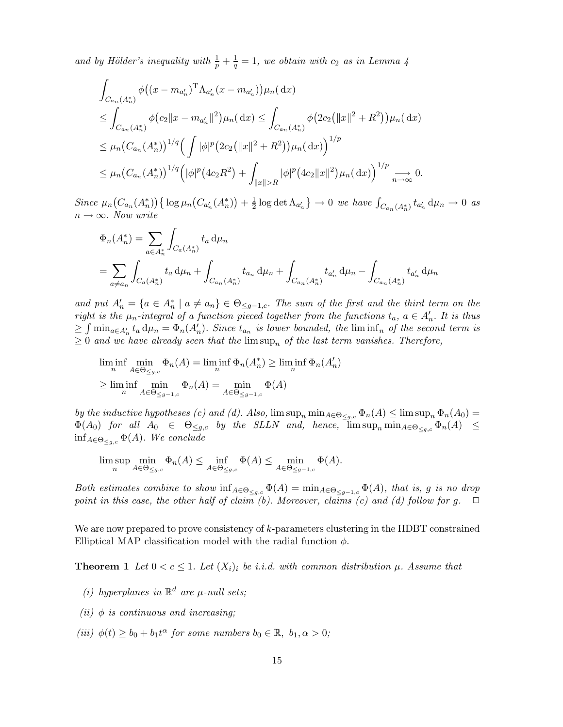and by Hölder's inequality with  $\frac{1}{p} + \frac{1}{q}$  $\frac{1}{q} = 1$ , we obtain with  $c_2$  as in Lemma 4

$$
\int_{C_{a_n}(A_n^*)} \phi\big((x - m_{a'_n})^{\mathrm{T}} \Lambda_{a'_n}(x - m_{a'_n})\big) \mu_n(\,\mathrm{d}x)
$$
\n
$$
\leq \int_{C_{a_n}(A_n^*)} \phi\big(c_2 \|x - m_{a'_n}\|^2\big) \mu_n(\,\mathrm{d}x) \leq \int_{C_{a_n}(A_n^*)} \phi\big(2c_2 (\|x\|^2 + R^2)\big) \mu_n(\,\mathrm{d}x)
$$
\n
$$
\leq \mu_n \big(C_{a_n}(A_n^*)\big)^{1/q} \Big(\int |\phi|^p \big(2c_2 (\|x\|^2 + R^2)\big) \mu_n(\,\mathrm{d}x)\Big)^{1/p}
$$
\n
$$
\leq \mu_n \big(C_{a_n}(A_n^*)\big)^{1/q} \Big(|\phi|^p \big(4c_2 R^2\big) + \int_{\|x\|>R} |\phi|^p \big(4c_2 \|x\|^2\big) \mu_n(\,\mathrm{d}x)\Big)^{1/p} \xrightarrow[n \to \infty]{} 0.
$$

Since  $\mu_n(C_{a_n}(A_n^*))\{\log \mu_n(C_{a_n'}(A_n^*)) + \frac{1}{2}\}$  $\frac{1}{2}$  log det  $\Lambda_{a'_{n}}$   $\} \to 0$  we have  $\int_{C_{a_n}(A_n^*)} t_{a'_n} d\mu_n \to 0$  as  $n \to \infty$ . Now write

$$
\Phi_n(A_n^*) = \sum_{a \in A_n^*} \int_{C_a(A_n^*)} t_a d\mu_n
$$
  
= 
$$
\sum_{a \neq a_n} \int_{C_a(A_n^*)} t_a d\mu_n + \int_{C_{a_n}(A_n^*)} t_{a_n} d\mu_n + \int_{C_{a_n}(A_n^*)} t_{a'_n} d\mu_n - \int_{C_{a_n}(A_n^*)} t_{a'_n} d\mu_n
$$

and put  $A'_n = \{a \in A_n^* \mid a \neq a_n\} \in \Theta_{\leq g-1,c}$ . The sum of the first and the third term on the right is the  $\mu_n$ -integral of a function pieced together from the functions  $t_a$ ,  $a \in A'_n$ . It is thus  $\geq \int \min_{a \in A'_n} t_a d\mu_n = \Phi_n(A'_n)$ . Since  $t_{a_n}$  is lower bounded, the liminf<sub>n</sub> of the second term is  $\geq 0$  and we have already seen that the  $\limsup_n$  of the last term vanishes. Therefore,

$$
\liminf_{n} \lim_{A \in \Theta_{\leq g,c}} \Phi_n(A) = \liminf_{n} \Phi_n(A_n^*) \geq \liminf_{n} \Phi_n(A_n')
$$
  

$$
\geq \liminf_{n} \lim_{A \in \Theta_{\leq g-1,c}} \Phi_n(A) = \min_{A \in \Theta_{\leq g-1,c}} \Phi(A)
$$

by the inductive hypotheses (c) and (d). Also,  $\limsup_n \min_{A \in \Theta_{\leq g,c}} \Phi_n(A) \leq \limsup_n \Phi_n(A_0) =$  $\Phi(A_0)$  for all  $A_0 \in \Theta_{\leq g,c}$  by the SLLN and, hence,  $\limsup_n \min_{A \in \Theta_{\leq g,c}} \Phi_n(A) \leq$  $\inf_{A \in \Theta_{\leq q,c}} \Phi(A)$ . We conclude

$$
\limsup_{n} \min_{A \in \Theta_{\leq g,c}} \Phi_n(A) \leq \inf_{A \in \Theta_{\leq g,c}} \Phi(A) \leq \min_{A \in \Theta_{\leq g-1,c}} \Phi(A).
$$

Both estimates combine to show  $\inf_{A\in\Theta_{\leq g,c}} \Phi(A) = \min_{A\in\Theta_{\leq g-1,c}} \Phi(A)$ , that is, g is no drop point in this case, the other half of claim (b). Moreover, claims (c) and (d) follow for g.  $\Box$ 

We are now prepared to prove consistency of k-parameters clustering in the HDBT constrained Elliptical MAP classification model with the radial function  $\phi$ .

**Theorem 1** Let  $0 < c \leq 1$ . Let  $(X_i)$  be i.i.d. with common distribution  $\mu$ . Assume that

- (i) hyperplanes in  $\mathbb{R}^d$  are  $\mu$ -null sets;
- (ii)  $\phi$  is continuous and increasing;
- (iii)  $\phi(t) \ge b_0 + b_1 t^{\alpha}$  for some numbers  $b_0 \in \mathbb{R}, b_1, \alpha > 0$ ;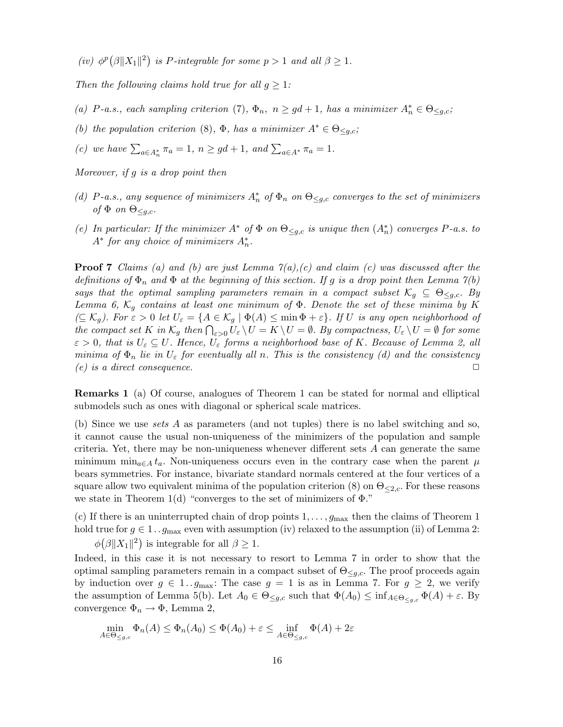(iv)  $\phi^p(\beta||X_1||^2)$  is P-integrable for some  $p > 1$  and all  $\beta \geq 1$ .

Then the following claims hold true for all  $g \geq 1$ :

- (a) P-a.s., each sampling criterion (7),  $\Phi_n$ ,  $n \ge gd+1$ , has a minimizer  $A_n^* \in \Theta_{\le g,c}$ ;
- (b) the population criterion (8),  $\Phi$ , has a minimizer  $A^* \in \Theta_{\leq q,c}$ ;
- (c) we have  $\sum_{a\in A_n^*} \pi_a = 1$ ,  $n \ge gd+1$ , and  $\sum_{a\in A^*} \pi_a = 1$ .

Moreover, if g is a drop point then

- (d) P-a.s., any sequence of minimizers  $A_n^*$  of  $\Phi_n$  on  $\Theta_{\leq g,c}$  converges to the set of minimizers of  $\Phi$  on  $\Theta_{\leq q,c}$ .
- (e) In particular: If the minimizer  $A^*$  of  $\Phi$  on  $\Theta_{\leq g,c}$  is unique then  $(A_n^*)$  converges P-a.s. to  $A^*$  for any choice of minimizers  $A_n^*$ .

**Proof 7** Claims (a) and (b) are just Lemma  $\mathcal{T}(a)$ , (c) and claim (c) was discussed after the definitions of  $\Phi_n$  and  $\Phi$  at the beginning of this section. If g is a drop point then Lemma  $\gamma(b)$ says that the optimal sampling parameters remain in a compact subset  $\mathcal{K}_q \subseteq \Theta_{\leq q,c}$ . By Lemma 6,  $\mathcal{K}_g$  contains at least one minimum of  $\Phi$ . Denote the set of these minima by K  $(\subseteq \mathcal{K}_q)$ . For  $\varepsilon > 0$  let  $U_{\varepsilon} = \{A \in \mathcal{K}_q \mid \Phi(A) \leq \min \Phi + \varepsilon\}$ . If U is any open neighborhood of the compact set K in  $\mathcal{K}_g$  then  $\bigcap_{\varepsilon>0} U_{\varepsilon} \setminus U = K \setminus U = \emptyset$ . By compactness,  $U_{\varepsilon} \setminus U = \emptyset$  for some  $\varepsilon > 0$ , that is  $U_{\varepsilon} \subseteq U$ . Hence,  $U_{\varepsilon}$  forms a neighborhood base of K. Because of Lemma 2, all minima of  $\Phi_n$  lie in  $U_{\varepsilon}$  for eventually all n. This is the consistency (d) and the consistency  $(e)$  is a direct consequence.

Remarks 1 (a) Of course, analogues of Theorem 1 can be stated for normal and elliptical submodels such as ones with diagonal or spherical scale matrices.

(b) Since we use sets A as parameters (and not tuples) there is no label switching and so, it cannot cause the usual non-uniqueness of the minimizers of the population and sample criteria. Yet, there may be non-uniqueness whenever different sets  $A$  can generate the same minimum min<sub>a∈A</sub> t<sub>a</sub>. Non-uniqueness occurs even in the contrary case when the parent  $\mu$ bears symmetries. For instance, bivariate standard normals centered at the four vertices of a square allow two equivalent minima of the population criterion (8) on  $\Theta_{\leq 2,c}$ . For these reasons we state in Theorem 1(d) "converges to the set of minimizers of  $\Phi$ ."

(c) If there is an uninterrupted chain of drop points  $1, \ldots, g_{\text{max}}$  then the claims of Theorem 1 hold true for  $g \in 1$ ..  $g_{\text{max}}$  even with assumption (iv) relaxed to the assumption (ii) of Lemma 2:  $\phi(\beta||X_1||^2)$  is integrable for all  $\beta \geq 1$ .

Indeed, in this case it is not necessary to resort to Lemma 7 in order to show that the optimal sampling parameters remain in a compact subset of  $\Theta_{\leq a,c}$ . The proof proceeds again by induction over  $g \in 1 \dots g_{\text{max}}$ : The case  $g = 1$  is as in Lemma 7. For  $g \geq 2$ , we verify the assumption of Lemma 5(b). Let  $A_0 \in \Theta_{\leq g,c}$  such that  $\Phi(A_0) \leq \inf_{A \in \Theta_{\leq g,c}} \Phi(A) + \varepsilon$ . By convergence  $\Phi_n \to \Phi$ , Lemma 2,

$$
\min_{A \in \Theta_{\leq g,c}} \Phi_n(A) \leq \Phi_n(A_0) \leq \Phi(A_0) + \varepsilon \leq \inf_{A \in \Theta_{\leq g,c}} \Phi(A) + 2\varepsilon
$$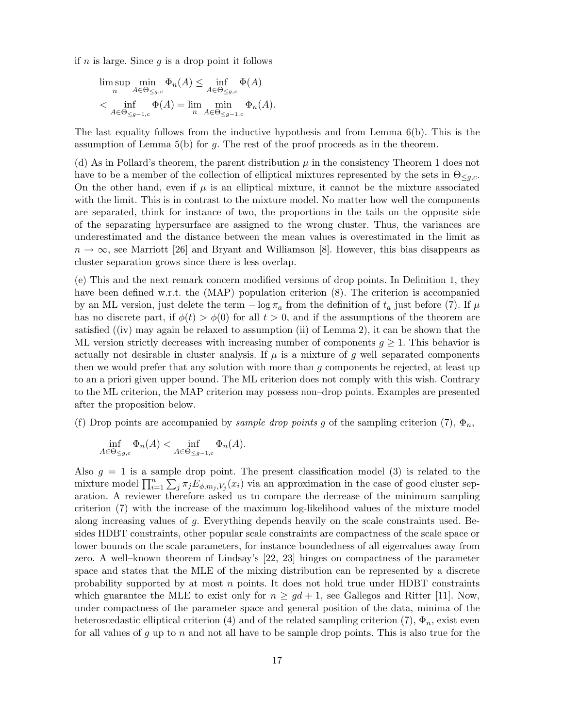if n is large. Since  $g$  is a drop point it follows

$$
\limsup_{n} \min_{A \in \Theta_{\leq g,c}} \Phi_n(A) \leq \inf_{A \in \Theta_{\leq g,c}} \Phi(A)
$$
  
< 
$$
< \inf_{A \in \Theta_{\leq g-1,c}} \Phi(A) = \lim_{n} \min_{A \in \Theta_{\leq g-1,c}} \Phi_n(A).
$$

The last equality follows from the inductive hypothesis and from Lemma 6(b). This is the assumption of Lemma  $5(b)$  for g. The rest of the proof proceeds as in the theorem.

(d) As in Pollard's theorem, the parent distribution  $\mu$  in the consistency Theorem 1 does not have to be a member of the collection of elliptical mixtures represented by the sets in  $\Theta_{\leq q,c}$ . On the other hand, even if  $\mu$  is an elliptical mixture, it cannot be the mixture associated with the limit. This is in contrast to the mixture model. No matter how well the components are separated, think for instance of two, the proportions in the tails on the opposite side of the separating hypersurface are assigned to the wrong cluster. Thus, the variances are underestimated and the distance between the mean values is overestimated in the limit as  $n \to \infty$ , see Marriott [26] and Bryant and Williamson [8]. However, this bias disappears as cluster separation grows since there is less overlap.

(e) This and the next remark concern modified versions of drop points. In Definition 1, they have been defined w.r.t. the (MAP) population criterion (8). The criterion is accompanied by an ML version, just delete the term  $-\log \pi_a$  from the definition of  $t_a$  just before (7). If  $\mu$ has no discrete part, if  $\phi(t) > \phi(0)$  for all  $t > 0$ , and if the assumptions of the theorem are satisfied ((iv) may again be relaxed to assumption (ii) of Lemma 2), it can be shown that the ML version strictly decreases with increasing number of components  $g \geq 1$ . This behavior is actually not desirable in cluster analysis. If  $\mu$  is a mixture of g well–separated components then we would prefer that any solution with more than g components be rejected, at least up to an a priori given upper bound. The ML criterion does not comply with this wish. Contrary to the ML criterion, the MAP criterion may possess non–drop points. Examples are presented after the proposition below.

(f) Drop points are accompanied by *sample drop points g* of the sampling criterion (7),  $\Phi_n$ ,

$$
\inf_{A \in \Theta_{\leq g,c}} \Phi_n(A) < \inf_{A \in \Theta_{\leq g-1,c}} \Phi_n(A).
$$

Also  $q = 1$  is a sample drop point. The present classification model (3) is related to the mixture model  $\prod_{i=1}^n \sum_j \pi_j E_{\phi, m_j, V_j}(x_i)$  via an approximation in the case of good cluster separation. A reviewer therefore asked us to compare the decrease of the minimum sampling criterion (7) with the increase of the maximum log-likelihood values of the mixture model along increasing values of g. Everything depends heavily on the scale constraints used. Besides HDBT constraints, other popular scale constraints are compactness of the scale space or lower bounds on the scale parameters, for instance boundedness of all eigenvalues away from zero. A well–known theorem of Lindsay's [22, 23] hinges on compactness of the parameter space and states that the MLE of the mixing distribution can be represented by a discrete probability supported by at most n points. It does not hold true under HDBT constraints which guarantee the MLE to exist only for  $n \geq gd+1$ , see Gallegos and Ritter [11]. Now, under compactness of the parameter space and general position of the data, minima of the heteroscedastic elliptical criterion (4) and of the related sampling criterion (7),  $\Phi_n$ , exist even for all values of g up to n and not all have to be sample drop points. This is also true for the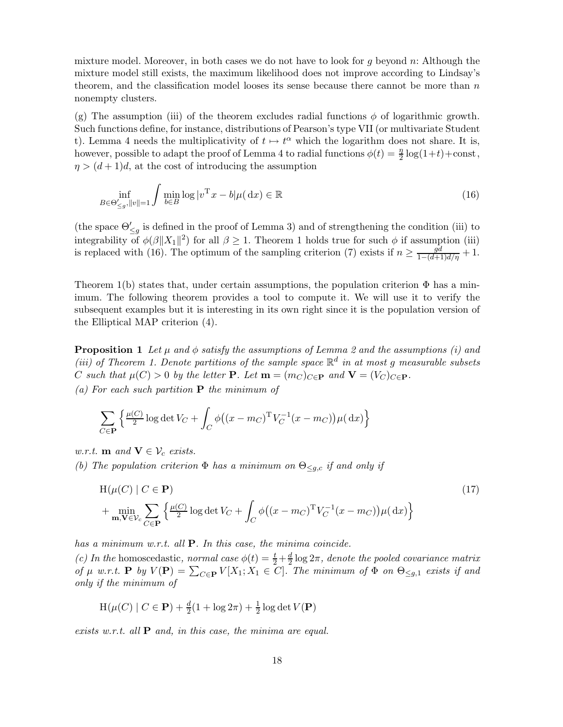mixture model. Moreover, in both cases we do not have to look for g beyond  $n$ : Although the mixture model still exists, the maximum likelihood does not improve according to Lindsay's theorem, and the classification model looses its sense because there cannot be more than  $n$ nonempty clusters.

(g) The assumption (iii) of the theorem excludes radial functions  $\phi$  of logarithmic growth. Such functions define, for instance, distributions of Pearson's type VII (or multivariate Student t). Lemma 4 needs the multiplicativity of  $t \mapsto t^{\alpha}$  which the logarithm does not share. It is, however, possible to adapt the proof of Lemma 4 to radial functions  $\phi(t) = \frac{\eta}{2} \log(1+t) + \text{const}$ ,  $\eta > (d+1)d$ , at the cost of introducing the assumption

$$
\inf_{B \in \Theta_{\leq g}^{\prime}, ||v|| = 1} \int \min_{b \in B} \log |v^{\mathrm{T}} x - b| \mu(\,\mathrm{d}x) \in \mathbb{R} \tag{16}
$$

(the space  $\Theta'_{\leq g}$  is defined in the proof of Lemma 3) and of strengthening the condition (iii) to integrability of  $\phi(\beta||X_1||^2)$  for all  $\beta \geq 1$ . Theorem 1 holds true for such  $\phi$  if assumption (iii) is replaced with (16). The optimum of the sampling criterion (7) exists if  $n \ge \frac{gd}{1-(d+1)d/\eta} + 1$ .

Theorem 1(b) states that, under certain assumptions, the population criterion  $\Phi$  has a minimum. The following theorem provides a tool to compute it. We will use it to verify the subsequent examples but it is interesting in its own right since it is the population version of the Elliptical MAP criterion (4).

**Proposition 1** Let  $\mu$  and  $\phi$  satisfy the assumptions of Lemma 2 and the assumptions (i) and (iii) of Theorem 1. Denote partitions of the sample space  $\mathbb{R}^d$  in at most g measurable subsets C such that  $\mu(C) > 0$  by the letter **P**. Let  $\mathbf{m} = (m_C)_{C \in \mathbf{P}}$  and  $\mathbf{V} = (V_C)_{C \in \mathbf{P}}$ . (a) For each such partition  $P$  the minimum of

$$
\sum_{C \in \mathbf{P}} \left\{ \frac{\mu(C)}{2} \log \det V_C + \int_C \phi \big( (x - m_C)^{\mathrm{T}} V_C^{-1} (x - m_C) \big) \mu(\,\mathrm{d}x) \right\}
$$

w.r.t. **m** and  $\mathbf{V} \in \mathcal{V}_c$  exists. (b) The population criterion  $\Phi$  has a minimum on  $\Theta_{\leq g,c}$  if and only if

$$
H(\mu(C) | C \in \mathbf{P})
$$
  
+ 
$$
\min_{\mathbf{m}, \mathbf{V} \in \mathcal{V}_c} \sum_{C \in \mathbf{P}} \left\{ \frac{\mu(C)}{2} \log \det V_C + \int_C \phi((x - m_C)^T V_C^{-1}(x - m_C)) \mu(dx) \right\}
$$
 (17)

has a minimum w.r.t. all  $P$ . In this case, the minima coincide.

(c) In the homoscedastic, normal case  $\phi(t) = \frac{t}{2} + \frac{d}{2}$  $\frac{d}{2} \log 2\pi$ , denote the pooled covariance matrix of  $\mu$  w.r.t. **P** by  $V(\mathbf{P}) = \sum_{C \in \mathbf{P}} V[X_1; X_1 \in C]$ . The minimum of  $\Phi$  on  $\Theta_{\leq g,1}$  exists if and only if the minimum of

$$
H(\mu(C) | C \in \mathbf{P}) + \frac{d}{2}(1 + \log 2\pi) + \frac{1}{2}\log \det V(\mathbf{P})
$$

exists w.r.t. all  $P$  and, in this case, the minima are equal.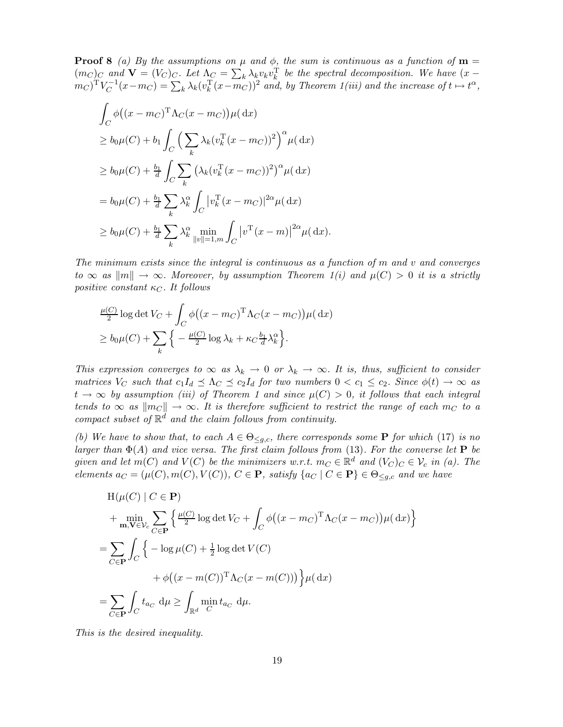**Proof 8** (a) By the assumptions on  $\mu$  and  $\phi$ , the sum is continuous as a function of  $\mathbf{m} =$  $(m_C)_{C}$  and  $\mathbf{V} = (V_C)_{C}$ . Let  $\Lambda_C = \sum_k \lambda_k v_k v_k^{\mathrm{T}}$  be the spectral decomposition. We have  $(x - \lambda_k)$  $(m_C)^\mathrm{T} V_C^{-1}$  $C^{-1}(x-m_C) = \sum_k \lambda_k (v_k^T(x-m_C))^2$  and, by Theorem 1(iii) and the increase of  $t \mapsto t^{\alpha}$ ,

$$
\int_C \phi\big((x - m_C)^T \Lambda_C(x - m_C)\big) \mu(dx)
$$
\n
$$
\ge b_0 \mu(C) + b_1 \int_C \Big(\sum_k \lambda_k (v_k^T (x - m_C))^2\Big)^\alpha \mu(dx)
$$
\n
$$
\ge b_0 \mu(C) + \frac{b_1}{d} \int_C \sum_k \big(\lambda_k (v_k^T (x - m_C))^2\big)^\alpha \mu(dx)
$$
\n
$$
= b_0 \mu(C) + \frac{b_1}{d} \sum_k \lambda_k^\alpha \int_C |v_k^T (x - m_C)|^{2\alpha} \mu(dx)
$$
\n
$$
\ge b_0 \mu(C) + \frac{b_1}{d} \sum_k \lambda_k^\alpha \min_{\|v\|=1, m} \int_C |v^T (x - m)|^{2\alpha} \mu(dx).
$$

The minimum exists since the integral is continuous as a function of m and v and converges to  $\infty$  as  $\|m\| \to \infty$ . Moreover, by assumption Theorem 1(i) and  $\mu(C) > 0$  it is a strictly positive constant  $\kappa_C$ . It follows

$$
\frac{\mu(C)}{2} \log \det V_C + \int_C \phi \big( (x - m_C)^{\mathrm{T}} \Lambda_C (x - m_C) \big) \mu(\,\mathrm{d}x)
$$
  
 
$$
\geq b_0 \mu(C) + \sum_k \Big\{ -\frac{\mu(C)}{2} \log \lambda_k + \kappa_C \frac{b_1}{d} \lambda_k^{\alpha} \Big\}.
$$

This expression converges to  $\infty$  as  $\lambda_k \to 0$  or  $\lambda_k \to \infty$ . It is, thus, sufficient to consider matrices  $V_C$  such that  $c_1I_d \preceq \Lambda_C \preceq c_2I_d$  for two numbers  $0 < c_1 \leq c_2$ . Since  $\phi(t) \to \infty$  as  $t \to \infty$  by assumption (iii) of Theorem 1 and since  $\mu(C) > 0$ , it follows that each integral tends to  $\infty$  as  $\|m_C\| \to \infty$ . It is therefore sufficient to restrict the range of each  $m_C$  to a compact subset of  $\mathbb{R}^d$  and the claim follows from continuity.

(b) We have to show that, to each  $A \in \Theta_{\leq g,c}$ , there corresponds some **P** for which (17) is no larger than  $\Phi(A)$  and vice versa. The first claim follows from (13). For the converse let **P** be given and let  $m(C)$  and  $V(C)$  be the minimizers w.r.t.  $m_C \in \mathbb{R}^d$  and  $(V_C)_C \in \mathcal{V}_c$  in (a). The elements  $a_C = (\mu(C), m(C), V(C)), C \in \mathbf{P}$ , satisfy  $\{a_C | C \in \mathbf{P}\}\in \Theta_{\leq q,c}$  and we have

$$
H(\mu(C) | C \in \mathbf{P})
$$
  
+ 
$$
\min_{\mathbf{m}, \mathbf{V} \in \mathcal{V}_c} \sum_{C \in \mathbf{P}} \left\{ \frac{\mu(C)}{2} \log \det V_C + \int_C \phi((x - m_C)^T \Lambda_C(x - m_C)) \mu(dx) \right\}
$$
  
= 
$$
\sum_{C \in \mathbf{P}} \int_C \left\{ -\log \mu(C) + \frac{1}{2} \log \det V(C) + \phi((x - m(C))^T \Lambda_C(x - m(C))) \right\} \mu(dx)
$$
  
= 
$$
\sum_{C \in \mathbf{P}} \int_C t_{a_C} d\mu \ge \int_{\mathbb{R}^d} \min_C t_{a_C} d\mu.
$$

This is the desired inequality.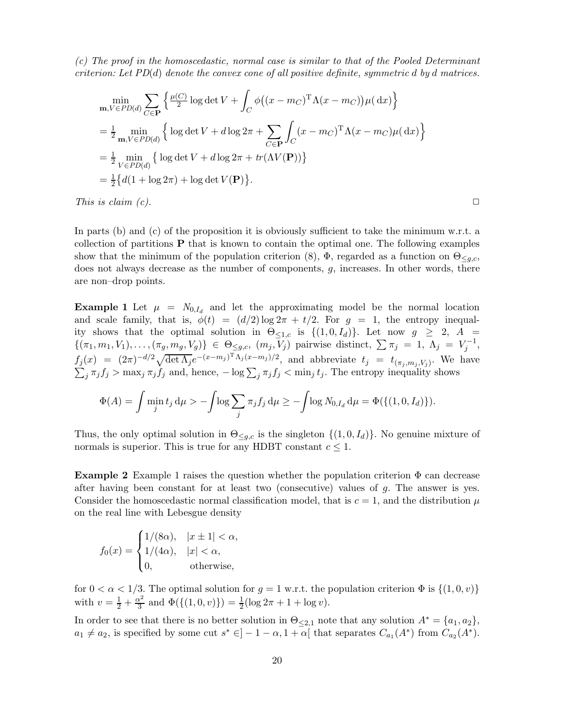(c) The proof in the homoscedastic, normal case is similar to that of the Pooled Determinant criterion: Let  $PD(d)$  denote the convex cone of all positive definite, symmetric d by d matrices.

$$
\min_{\mathbf{m}, V \in PD(d)} \sum_{C \in \mathbf{P}} \left\{ \frac{\mu(C)}{2} \log \det V + \int_C \phi((x - m_C)^T \Lambda(x - m_C)) \mu(dx) \right\}
$$
  
=  $\frac{1}{2} \min_{\mathbf{m}, V \in PD(d)} \left\{ \log \det V + d \log 2\pi + \sum_{C \in \mathbf{P}} \int_C (x - m_C)^T \Lambda(x - m_C) \mu(dx) \right\}$   
=  $\frac{1}{2} \min_{V \in PD(d)} \left\{ \log \det V + d \log 2\pi + tr(\Lambda V(\mathbf{P})) \right\}$   
=  $\frac{1}{2} \left\{ d(1 + \log 2\pi) + \log \det V(\mathbf{P}) \right\}.$ 

This is claim (c).  $\Box$ 

In parts (b) and (c) of the proposition it is obviously sufficient to take the minimum w.r.t. a collection of partitions  $P$  that is known to contain the optimal one. The following examples show that the minimum of the population criterion (8),  $\Phi$ , regarded as a function on  $\Theta_{\leq g,c}$ , does not always decrease as the number of components,  $g$ , increases. In other words, there are non–drop points.

**Example 1** Let  $\mu = N_{0,I_d}$  and let the approximating model be the normal location and scale family, that is,  $\phi(t) = (d/2) \log 2\pi + t/2$ . For  $g = 1$ , the entropy inequality shows that the optimal solution in  $\Theta_{\leq 1,c}$  is  $\{(1,0,I_d)\}\)$ . Let now  $g \geq 2$ ,  $A =$  $\{(\pi_1, m_1, V_1), \ldots, (\pi_g, m_g, V_g)\}\in \Theta_{\leq g,c}, \ (m_j, V_j)$  pairwise distinct,  $\sum \pi_j = 1, \ \Lambda_j = V_j^{-1},$  $f_j(x) = (2\pi)^{-d/2}\sqrt{\det \Lambda_j}e^{-(x-m_j)^T\Lambda_j(x-m_j)/2}$ , and abbreviate  $t_j = t_{(\pi_j,m_j,V_j)}$ . We have  $\sum_j \pi_j f_j > \max_j \pi_j f_j$  and, hence,  $-\log \sum_j \pi_j f_j < \min_j t_j$ . The entropy inequality shows

$$
\Phi(A) = \int \min_j t_j \, d\mu > -\int \log \sum_j \pi_j f_j \, d\mu \ge -\int \log N_{0,I_d} \, d\mu = \Phi(\{(1,0,I_d)\}).
$$

Thus, the only optimal solution in  $\Theta_{\leq q,c}$  is the singleton  $\{(1,0,I_d)\}\)$ . No genuine mixture of normals is superior. This is true for any HDBT constant  $c \leq 1$ .

**Example 2** Example 1 raises the question whether the population criterion  $\Phi$  can decrease after having been constant for at least two (consecutive) values of g. The answer is yes. Consider the homoscedastic normal classification model, that is  $c = 1$ , and the distribution  $\mu$ on the real line with Lebesgue density

$$
f_0(x) = \begin{cases} 1/(8\alpha), & |x \pm 1| < \alpha, \\ 1/(4\alpha), & |x| < \alpha, \\ 0, & \text{otherwise}, \end{cases}
$$

for  $0 < \alpha < 1/3$ . The optimal solution for  $g = 1$  w.r.t. the population criterion  $\Phi$  is  $\{(1,0,v)\}$ with  $v = \frac{1}{2} + \frac{\alpha^2}{3}$  $\frac{\alpha^2}{3}$  and  $\Phi(\{(1,0,v)\}) = \frac{1}{2}(\log 2\pi + 1 + \log v).$ 

In order to see that there is no better solution in  $\Theta_{\leq 2,1}$  note that any solution  $A^* = \{a_1, a_2\}$ ,  $a_1 \neq a_2$ , is specified by some cut  $s^* \in ]-1-\alpha, 1+\alpha[$  that separates  $C_{a_1}(A^*)$  from  $C_{a_2}(A^*)$ .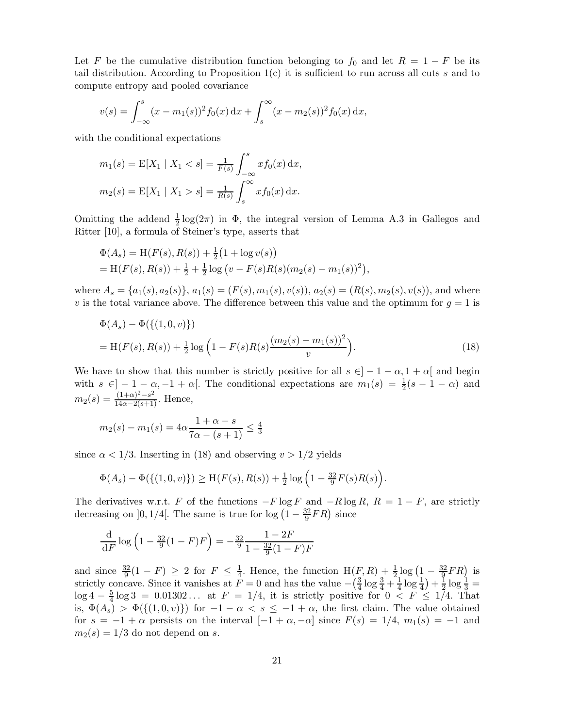Let F be the cumulative distribution function belonging to  $f_0$  and let  $R = 1 - F$  be its tail distribution. According to Proposition  $1(c)$  it is sufficient to run across all cuts s and to compute entropy and pooled covariance

$$
v(s) = \int_{-\infty}^{s} (x - m_1(s))^2 f_0(x) dx + \int_{s}^{\infty} (x - m_2(s))^2 f_0(x) dx,
$$

with the conditional expectations

$$
m_1(s) = \mathbb{E}[X_1 | X_1 < s] = \frac{1}{F(s)} \int_{-\infty}^s x f_0(x) \, dx,
$$
\n
$$
m_2(s) = \mathbb{E}[X_1 | X_1 > s] = \frac{1}{R(s)} \int_s^\infty x f_0(x) \, dx.
$$

Omitting the addend  $\frac{1}{2} \log(2\pi)$  in  $\Phi$ , the integral version of Lemma A.3 in Gallegos and Ritter [10], a formula of Steiner's type, asserts that

$$
\Phi(A_s) = H(F(s), R(s)) + \frac{1}{2}(1 + \log v(s))
$$
  
= H(F(s), R(s)) + \frac{1}{2} + \frac{1}{2}\log (v - F(s)R(s)(m\_2(s) - m\_1(s))^2),

where  $A_s = \{a_1(s), a_2(s)\}, a_1(s) = (F(s), m_1(s), v(s)), a_2(s) = (R(s), m_2(s), v(s)),$  and where v is the total variance above. The difference between this value and the optimum for  $g = 1$  is

$$
\Phi(A_s) - \Phi(\{(1,0,v)\})
$$
  
= H(F(s), R(s)) +  $\frac{1}{2}$  log  $\left(1 - F(s)R(s)\frac{(m_2(s) - m_1(s))^2}{v}\right)$ . (18)

We have to show that this number is strictly positive for all  $s \in ]-1-\alpha, 1+\alpha[$  and begin with  $s \in ]-1-\alpha, -1+\alpha[$ . The conditional expectations are  $m_1(s) = \frac{1}{2}(s-1-\alpha)$  and  $m_2(s) = \frac{(1+\alpha)^2 - s^2}{14\alpha - 2(s+1)}$ . Hence,

$$
m_2(s) - m_1(s) = 4\alpha \frac{1 + \alpha - s}{7\alpha - (s + 1)} \le \frac{4}{3}
$$

since  $\alpha < 1/3$ . Inserting in (18) and observing  $v > 1/2$  yields

$$
\Phi(A_s) - \Phi(\{(1,0,v)\}) \ge \mathcal{H}(F(s), R(s)) + \frac{1}{2}\log\left(1 - \frac{32}{9}F(s)R(s)\right).
$$

The derivatives w.r.t. F of the functions  $-F \log F$  and  $-R \log R$ ,  $R = 1 - F$ , are strictly decreasing on  $]0,1/4[$ . The same is true for  $\log\left(1-\frac{32}{9}\right)$  $\frac{32}{9}FR$ ) since

$$
\frac{\mathrm{d}}{\mathrm{d}F}\log\left(1-\frac{32}{9}(1-F)F\right) = -\frac{32}{9}\frac{1-2F}{1-\frac{32}{9}(1-F)F}
$$

and since  $\frac{32}{9}(1 - F) \geq 2$  for  $F \leq \frac{1}{4}$  $\frac{1}{4}$ . Hence, the function  $H(F, R) + \frac{1}{2} \log \left(1 - \frac{32}{9}\right)$  $\frac{32}{9}FR$ ) is strictly concave. Since it vanishes at  $\overline{F} = 0$  and has the value  $-\left(\frac{3}{4}\right)$  $rac{3}{4} \log \frac{3}{4} + \frac{1}{4}$  $\frac{1}{4} \log \frac{1}{4} + \frac{1}{2}$  $\frac{1}{2} \log \frac{1}{3} =$  $\log 4 - \frac{5}{4}$  $\frac{5}{4}$  log 3 = 0.01302... at  $F = 1/4$ , it is strictly positive for  $0 < F \le 1/4$ . That is,  $\Phi(A_s) > \Phi(\{(1,0,v)\})$  for  $-1 - \alpha < s \leq -1 + \alpha$ , the first claim. The value obtained for  $s = -1 + \alpha$  persists on the interval  $[-1 + \alpha, -\alpha]$  since  $F(s) = 1/4$ ,  $m_1(s) = -1$  and  $m_2(s) = 1/3$  do not depend on s.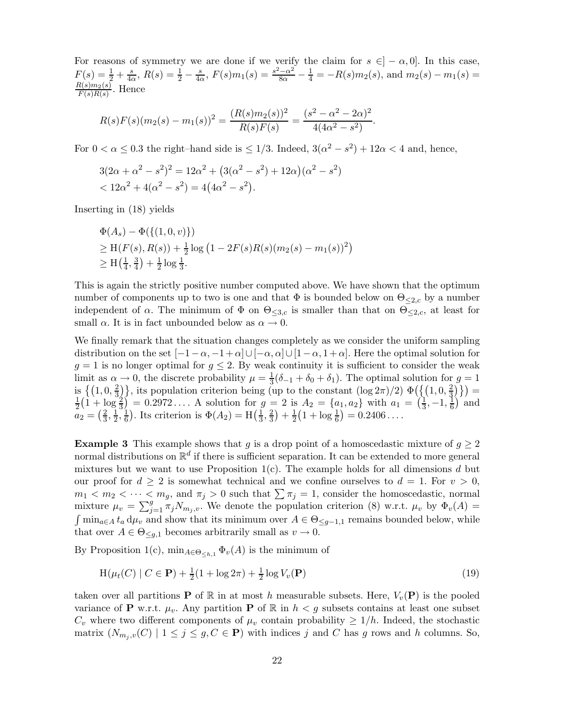For reasons of symmetry we are done if we verify the claim for  $s \in ]-\alpha,0]$ . In this case,  $F(s) = \frac{1}{2} + \frac{s}{4c}$  $\frac{s}{4\alpha}$ ,  $R(s) = \frac{1}{2} - \frac{s}{4\alpha}$  $\frac{s}{4\alpha}$ ,  $F(s)m_1(s) = \frac{s^2-\alpha^2}{8\alpha}$  $\frac{-\alpha^2}{8\alpha} - \frac{1}{4} = -R(s)m_2(s)$ , and  $m_2(s) - m_1(s) =$  $R(s)m_2(s)$  $\frac{\pi(s)m_2(s)}{F(s)R(s)}$ . Hence

$$
R(s)F(s)(m_2(s) - m_1(s))^2 = \frac{(R(s)m_2(s))^2}{R(s)F(s)} = \frac{(s^2 - \alpha^2 - 2\alpha)^2}{4(4\alpha^2 - s^2)}.
$$

For  $0 < \alpha \leq 0.3$  the right–hand side is  $\leq 1/3$ . Indeed,  $3(\alpha^2 - s^2) + 12\alpha < 4$  and, hence,

$$
3(2\alpha + \alpha^2 - s^2)^2 = 12\alpha^2 + (3(\alpha^2 - s^2) + 12\alpha)(\alpha^2 - s^2) < 12\alpha^2 + 4(\alpha^2 - s^2) = 4(4\alpha^2 - s^2).
$$

Inserting in (18) yields

$$
\Phi(A_s) - \Phi(\{(1,0,v)\})
$$
  
\n
$$
\geq \mathrm{H}(F(s), R(s)) + \frac{1}{2}\log(1 - 2F(s)R(s)(m_2(s) - m_1(s))^2)
$$
  
\n
$$
\geq \mathrm{H}(\frac{1}{4}, \frac{3}{4}) + \frac{1}{2}\log\frac{1}{3}.
$$

This is again the strictly positive number computed above. We have shown that the optimum number of components up to two is one and that  $\Phi$  is bounded below on  $\Theta_{\leq 2,c}$  by a number independent of  $\alpha$ . The minimum of  $\Phi$  on  $\Theta_{\leq 3,c}$  is smaller than that on  $\Theta_{\leq 2,c}$ , at least for small  $\alpha$ . It is in fact unbounded below as  $\alpha \to 0$ .

We finally remark that the situation changes completely as we consider the uniform sampling distribution on the set  $[-1-\alpha, -1+\alpha] \cup [-\alpha, \alpha] \cup [1-\alpha, 1+\alpha]$ . Here the optimal solution for  $g = 1$  is no longer optimal for  $g \leq 2$ . By weak continuity it is sufficient to consider the weak limit as  $\alpha \to 0$ , the discrete probability  $\mu = \frac{1}{3}$  $\frac{1}{3}(\delta_{-1} + \delta_0 + \delta_1)$ . The optimal solution for  $g = 1$ is  $\{ (1, 0, \frac{2}{3}) \}$  $\frac{2}{3}$ , its population criterion being (up to the constant  $(\log 2\pi)/2$ )  $\Phi\left(\frac{1}{3}, 0, \frac{2}{3}\right)$  $\{(\frac{2}{3})\}) =$ 1  $\frac{1}{2}(\hat{1} + \log \frac{2}{3}) = 0.2972...$  A solution for  $g = 2$  is  $A_2 = \{a_1, a_2\}$  with  $a_1 = \left(\frac{1}{3}\right)$  $\frac{1}{3}$ , -1,  $\frac{1}{6}$  $\frac{1}{6}$  and  $a_2 = (\frac{2}{3})$  $\frac{2}{3}, \frac{1}{2}$  $\frac{1}{2}, \frac{1}{6}$  $\frac{1}{6}$ ). Its criterion is  $\Phi(A_2) = H(\frac{1}{3})$  $\frac{1}{3}, \frac{2}{3}$  $\frac{2}{3}$  +  $\frac{1}{2}$  $\frac{1}{2}(1 + \log \frac{1}{6}) = 0.2406...$ 

**Example 3** This example shows that g is a drop point of a homoscedastic mixture of  $g \geq 2$ normal distributions on  $\mathbb{R}^d$  if there is sufficient separation. It can be extended to more general mixtures but we want to use Proposition  $1(c)$ . The example holds for all dimensions d but our proof for  $d \geq 2$  is somewhat technical and we confine ourselves to  $d = 1$ . For  $v > 0$ ,  $m_1 < m_2 < \cdots < m_g$ , and  $\pi_j > 0$  such that  $\sum \pi_j = 1$ , consider the homoscedastic, normal mixture  $\mu_v = \sum_{j=1}^g \pi_j N_{m_j,v}$ . We denote the population criterion (8) w.r.t.  $\mu_v$  by  $\Phi_v(A)$  $\int \min_{a \in A} t_a d\mu_v$  and show that its minimum over  $A \in \Theta_{\leq g-1,1}$  remains bounded below, while that over  $A \in \Theta_{\leq g,1}$  becomes arbitrarily small as  $v \to 0$ .

By Proposition 1(c),  $\min_{A \in \Theta_{\leq h,1}} \Phi_v(A)$  is the minimum of

$$
H(\mu_t(C) | C \in \mathbf{P}) + \frac{1}{2}(1 + \log 2\pi) + \frac{1}{2}\log V_v(\mathbf{P})
$$
\n(19)

taken over all partitions **P** of  $\mathbb{R}$  in at most h measurable subsets. Here,  $V_v(\mathbf{P})$  is the pooled variance of **P** w.r.t.  $\mu_v$ . Any partition **P** of R in  $h < g$  subsets contains at least one subset  $C_v$  where two different components of  $\mu_v$  contain probability  $\geq 1/h$ . Indeed, the stochastic matrix  $(N_{m_j,v}(C) \mid 1 \leq j \leq g, C \in \mathbf{P})$  with indices j and C has g rows and h columns. So,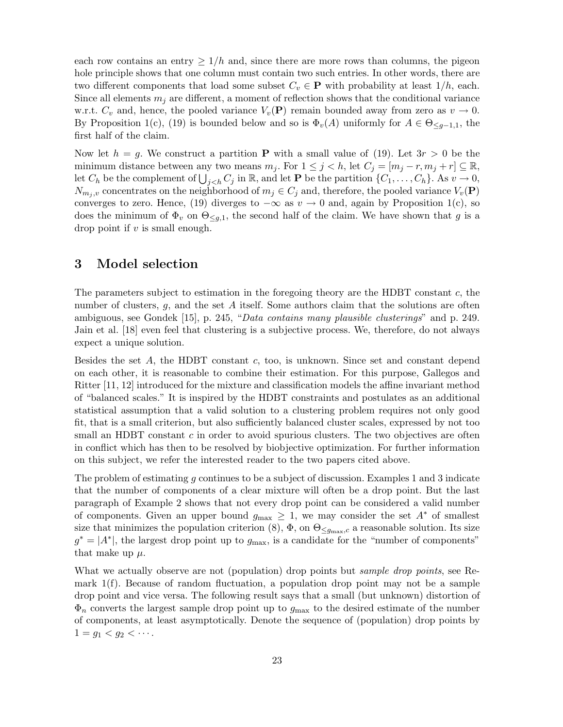each row contains an entry  $\geq 1/h$  and, since there are more rows than columns, the pigeon hole principle shows that one column must contain two such entries. In other words, there are two different components that load some subset  $C_v \in \mathbf{P}$  with probability at least  $1/h$ , each. Since all elements  $m_i$  are different, a moment of reflection shows that the conditional variance w.r.t.  $C_v$  and, hence, the pooled variance  $V_v(\mathbf{P})$  remain bounded away from zero as  $v \to 0$ . By Proposition 1(c), (19) is bounded below and so is  $\Phi_{v}(A)$  uniformly for  $A \in \Theta_{\leq g-1,1}$ , the first half of the claim.

Now let  $h = g$ . We construct a partition **P** with a small value of (19). Let  $3r > 0$  be the minimum distance between any two means  $m_j$ . For  $1 \leq j < h$ , let  $C_j = [m_j - r, m_j + r] \subseteq \mathbb{R}$ , let  $C_h$  be the complement of  $\bigcup_{j < h} C_j$  in R, and let **P** be the partition  $\{C_1, \ldots, C_h\}$ . As  $v \to 0$ ,  $N_{m_i,v}$  concentrates on the neighborhood of  $m_j \in C_j$  and, therefore, the pooled variance  $V_v(\mathbf{P})$ converges to zero. Hence, (19) diverges to  $-\infty$  as  $v \to 0$  and, again by Proposition 1(c), so does the minimum of  $\Phi_v$  on  $\Theta_{\leq g,1}$ , the second half of the claim. We have shown that g is a drop point if  $v$  is small enough.

## 3 Model selection

The parameters subject to estimation in the foregoing theory are the HDBT constant  $c$ , the number of clusters, g, and the set A itself. Some authors claim that the solutions are often ambiguous, see Gondek [15], p. 245, "Data contains many plausible clusterings" and p. 249. Jain et al. [18] even feel that clustering is a subjective process. We, therefore, do not always expect a unique solution.

Besides the set A, the HDBT constant c, too, is unknown. Since set and constant depend on each other, it is reasonable to combine their estimation. For this purpose, Gallegos and Ritter [11, 12] introduced for the mixture and classification models the affine invariant method of "balanced scales." It is inspired by the HDBT constraints and postulates as an additional statistical assumption that a valid solution to a clustering problem requires not only good fit, that is a small criterion, but also sufficiently balanced cluster scales, expressed by not too small an HDBT constant  $c$  in order to avoid spurious clusters. The two objectives are often in conflict which has then to be resolved by biobjective optimization. For further information on this subject, we refer the interested reader to the two papers cited above.

The problem of estimating q continues to be a subject of discussion. Examples 1 and 3 indicate that the number of components of a clear mixture will often be a drop point. But the last paragraph of Example 2 shows that not every drop point can be considered a valid number of components. Given an upper bound  $g_{\text{max}} \geq 1$ , we may consider the set  $A^*$  of smallest size that minimizes the population criterion (8),  $\Phi$ , on  $\Theta_{\leq g_{\text{max}},c}$  a reasonable solution. Its size  $g^* = |A^*|$ , the largest drop point up to  $g_{\text{max}}$ , is a candidate for the "number of components" that make up  $\mu$ .

What we actually observe are not (population) drop points but *sample drop points*, see Remark 1(f). Because of random fluctuation, a population drop point may not be a sample drop point and vice versa. The following result says that a small (but unknown) distortion of  $\Phi_n$  converts the largest sample drop point up to  $g_{\text{max}}$  to the desired estimate of the number of components, at least asymptotically. Denote the sequence of (population) drop points by  $1 = g_1 < g_2 < \cdots$ .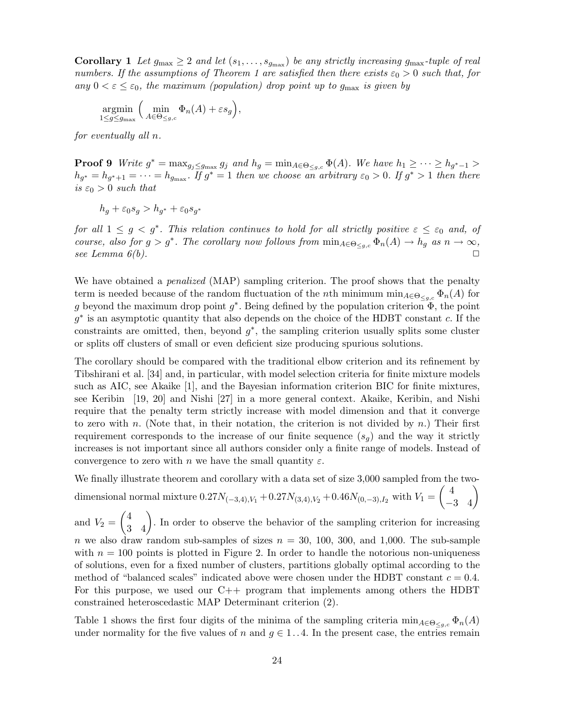**Corollary 1** Let  $g_{\text{max}} \geq 2$  and let  $(s_1, \ldots, s_{g_{\text{max}}})$  be any strictly increasing  $g_{\text{max}}$ -tuple of real numbers. If the assumptions of Theorem 1 are satisfied then there exists  $\varepsilon_0 > 0$  such that, for any  $0 < \varepsilon \leq \varepsilon_0$ , the maximum (population) drop point up to  $g_{\text{max}}$  is given by

$$
\underset{1 \le g \le g_{\text{max}}}{\text{argmin}} \left( \underset{A \in \Theta \le g,c}{\text{min}} \Phi_n(A) + \varepsilon s_g \right),
$$

for eventually all n.

**Proof 9** Write  $g^* = \max_{g_j \leq g_{\text{max}}} g_j$  and  $h_g = \min_{A \in \Theta_{\leq g,c}} \Phi(A)$ . We have  $h_1 \geq \cdots \geq h_{g^*-1} >$  $h_{g^*} = h_{g^*+1} = \cdots = h_{g_{\text{max}}}$ . If  $g^* = 1$  then we choose an arbitrary  $\varepsilon_0 > 0$ . If  $g^* > 1$  then there is  $\varepsilon_0 > 0$  such that

$$
h_g + \varepsilon_0 s_g > h_{g^*} + \varepsilon_0 s_{g^*}
$$

for all  $1 \leq g \leq g^*$ . This relation continues to hold for all strictly positive  $\varepsilon \leq \varepsilon_0$  and, of course, also for  $g > g^*$ . The corollary now follows from  $\min_{A \in \Theta_{\leq g,c}} \Phi_n(A) \to h_g$  as  $n \to \infty$ , see Lemma  $6(b)$ .

We have obtained a *penalized* (MAP) sampling criterion. The proof shows that the penalty term is needed because of the random fluctuation of the *n*th minimum min<sub>A∈Θ≤g,c</sub>  $\Phi_n(A)$  for g beyond the maximum drop point  $g^*$ . Being defined by the population criterion  $\phi$ , the point  $g^*$  is an asymptotic quantity that also depends on the choice of the HDBT constant c. If the constraints are omitted, then, beyond  $g^*$ , the sampling criterion usually splits some cluster or splits off clusters of small or even deficient size producing spurious solutions.

The corollary should be compared with the traditional elbow criterion and its refinement by Tibshirani et al. [34] and, in particular, with model selection criteria for finite mixture models such as AIC, see Akaike [1], and the Bayesian information criterion BIC for finite mixtures, see Keribin [19, 20] and Nishi [27] in a more general context. Akaike, Keribin, and Nishi require that the penalty term strictly increase with model dimension and that it converge to zero with n. (Note that, in their notation, the criterion is not divided by n.) Their first requirement corresponds to the increase of our finite sequence  $(s_q)$  and the way it strictly increases is not important since all authors consider only a finite range of models. Instead of convergence to zero with n we have the small quantity  $\varepsilon$ .

We finally illustrate theorem and corollary with a data set of size 3,000 sampled from the twodimensional normal mixture  $0.27N_{(-3,4),V_1} + 0.27N_{(3,4),V_2} + 0.46N_{(0,-3),I_2}$  with  $V_1 =$  $\begin{pmatrix} 4 & \\ -3 & 4 \end{pmatrix}$ 

and  $V_2 =$  $\begin{pmatrix} 4 & 4 \\ 3 & 4 \end{pmatrix}$ . In order to observe the behavior of the sampling criterion for increasing n we also draw random sub-samples of sizes  $n = 30, 100, 300,$  and 1,000. The sub-sample with  $n = 100$  points is plotted in Figure 2. In order to handle the notorious non-uniqueness of solutions, even for a fixed number of clusters, partitions globally optimal according to the method of "balanced scales" indicated above were chosen under the HDBT constant  $c = 0.4$ . For this purpose, we used our C++ program that implements among others the HDBT constrained heteroscedastic MAP Determinant criterion (2).

Table 1 shows the first four digits of the minima of the sampling criteria  $\min_{A \in \Theta_{\leq a,c}} \Phi_n(A)$ under normality for the five values of n and  $g \in 1...4$ . In the present case, the entries remain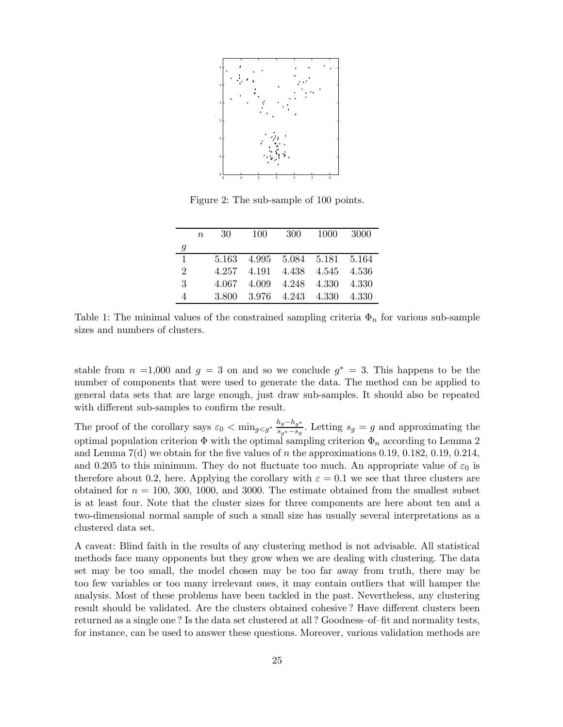

Figure 2: The sub-sample of 100 points.

|                  | $\boldsymbol{n}$ | 30 | 100 | 300                           | 1000 | 3000 |
|------------------|------------------|----|-----|-------------------------------|------|------|
| $\boldsymbol{g}$ |                  |    |     |                               |      |      |
| $\mathbf{1}$     |                  |    |     | 5.163 4.995 5.084 5.181 5.164 |      |      |
| $\overline{2}$   |                  |    |     | 4.257 4.191 4.438 4.545 4.536 |      |      |
| 3                |                  |    |     | 4.067 4.009 4.248 4.330 4.330 |      |      |
| $\overline{A}$   |                  |    |     | 3.800 3.976 4.243 4.330 4.330 |      |      |

Table 1: The minimal values of the constrained sampling criteria  $\Phi_n$  for various sub-sample sizes and numbers of clusters.

stable from  $n = 1,000$  and  $g = 3$  on and so we conclude  $g^* = 3$ . This happens to be the number of components that were used to generate the data. The method can be applied to general data sets that are large enough, just draw sub-samples. It should also be repeated with different sub-samples to confirm the result.

The proof of the corollary says  $\varepsilon_0 < \min_{g < g^*} \frac{h_g - h_{g^*}}{s_{\varepsilon} + s_g}$  $\frac{\log - \log x}{\log x - \log x}$ . Letting  $s_g = g$  and approximating the optimal population criterion  $\Phi$  with the optimal sampling criterion  $\Phi_n$  according to Lemma 2 and Lemma  $7(d)$  we obtain for the five values of n the approximations 0.19, 0.182, 0.19, 0.214, and 0.205 to this minimum. They do not fluctuate too much. An appropriate value of  $\varepsilon_0$  is therefore about 0.2, here. Applying the corollary with  $\varepsilon = 0.1$  we see that three clusters are obtained for  $n = 100, 300, 1000,$  and 3000. The estimate obtained from the smallest subset is at least four. Note that the cluster sizes for three components are here about ten and a two-dimensional normal sample of such a small size has usually several interpretations as a clustered data set.

A caveat: Blind faith in the results of any clustering method is not advisable. All statistical methods face many opponents but they grow when we are dealing with clustering. The data set may be too small, the model chosen may be too far away from truth, there may be too few variables or too many irrelevant ones, it may contain outliers that will hamper the analysis. Most of these problems have been tackled in the past. Nevertheless, any clustering result should be validated. Are the clusters obtained cohesive ? Have different clusters been returned as a single one ? Is the data set clustered at all ? Goodness–of–fit and normality tests, for instance, can be used to answer these questions. Moreover, various validation methods are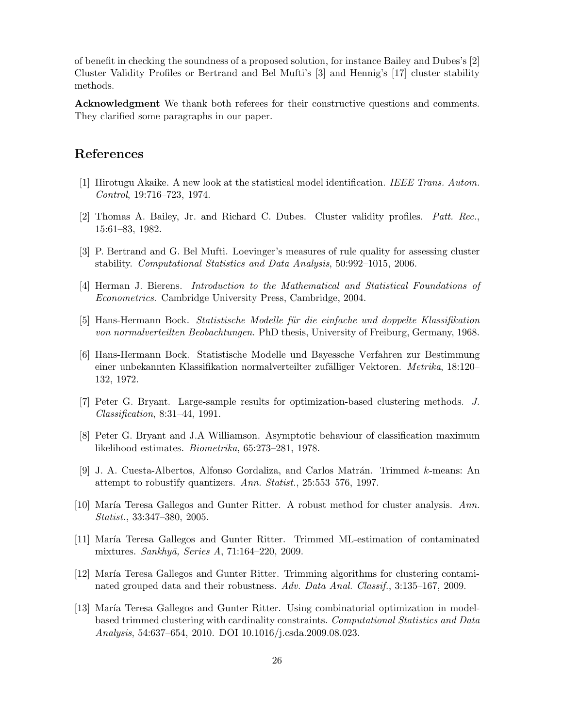of benefit in checking the soundness of a proposed solution, for instance Bailey and Dubes's [2] Cluster Validity Profiles or Bertrand and Bel Mufti's [3] and Hennig's [17] cluster stability methods.

Acknowledgment We thank both referees for their constructive questions and comments. They clarified some paragraphs in our paper.

### References

- [1] Hirotugu Akaike. A new look at the statistical model identification. IEEE Trans. Autom. Control, 19:716–723, 1974.
- [2] Thomas A. Bailey, Jr. and Richard C. Dubes. Cluster validity profiles. Patt. Rec., 15:61–83, 1982.
- [3] P. Bertrand and G. Bel Mufti. Loevinger's measures of rule quality for assessing cluster stability. Computational Statistics and Data Analysis, 50:992–1015, 2006.
- [4] Herman J. Bierens. Introduction to the Mathematical and Statistical Foundations of Econometrics. Cambridge University Press, Cambridge, 2004.
- [5] Hans-Hermann Bock. Statistische Modelle für die einfache und doppelte Klassifikation von normalverteilten Beobachtungen. PhD thesis, University of Freiburg, Germany, 1968.
- [6] Hans-Hermann Bock. Statistische Modelle und Bayessche Verfahren zur Bestimmung einer unbekannten Klassifikation normalverteilter zufälliger Vektoren. Metrika, 18:120– 132, 1972.
- [7] Peter G. Bryant. Large-sample results for optimization-based clustering methods. J. Classification, 8:31–44, 1991.
- [8] Peter G. Bryant and J.A Williamson. Asymptotic behaviour of classification maximum likelihood estimates. Biometrika, 65:273–281, 1978.
- [9] J. A. Cuesta-Albertos, Alfonso Gordaliza, and Carlos Matrán. Trimmed k-means: An attempt to robustify quantizers. Ann. Statist., 25:553–576, 1997.
- [10] María Teresa Gallegos and Gunter Ritter. A robust method for cluster analysis. Ann. Statist., 33:347–380, 2005.
- [11] María Teresa Gallegos and Gunter Ritter. Trimmed ML-estimation of contaminated mixtures. Sankhyā, Series A,  $71:164-220$ , 2009.
- [12] María Teresa Gallegos and Gunter Ritter. Trimming algorithms for clustering contaminated grouped data and their robustness. Adv. Data Anal. Classif., 3:135–167, 2009.
- [13] María Teresa Gallegos and Gunter Ritter. Using combinatorial optimization in modelbased trimmed clustering with cardinality constraints. Computational Statistics and Data Analysis, 54:637–654, 2010. DOI 10.1016/j.csda.2009.08.023.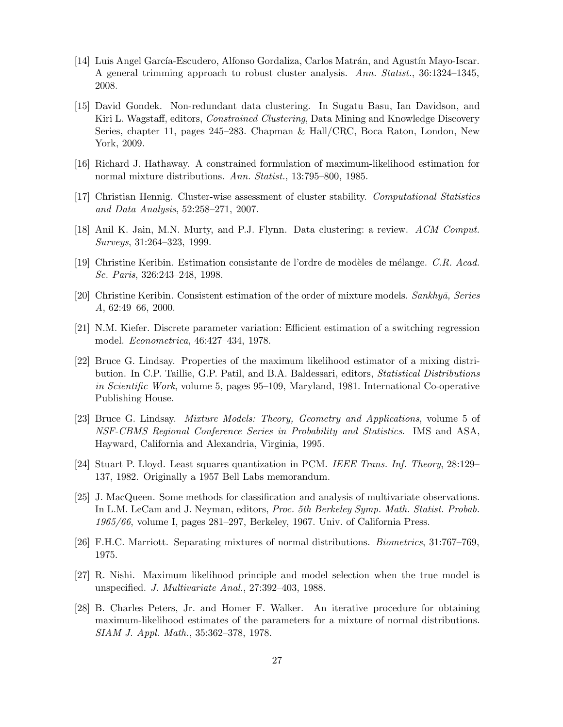- [14] Luis Angel García-Escudero, Alfonso Gordaliza, Carlos Matrán, and Agustín Mayo-Iscar. A general trimming approach to robust cluster analysis. Ann. Statist., 36:1324–1345, 2008.
- [15] David Gondek. Non-redundant data clustering. In Sugatu Basu, Ian Davidson, and Kiri L. Wagstaff, editors, *Constrained Clustering*, Data Mining and Knowledge Discovery Series, chapter 11, pages 245–283. Chapman & Hall/CRC, Boca Raton, London, New York, 2009.
- [16] Richard J. Hathaway. A constrained formulation of maximum-likelihood estimation for normal mixture distributions. Ann. Statist., 13:795–800, 1985.
- [17] Christian Hennig. Cluster-wise assessment of cluster stability. Computational Statistics and Data Analysis, 52:258–271, 2007.
- [18] Anil K. Jain, M.N. Murty, and P.J. Flynn. Data clustering: a review. ACM Comput. Surveys, 31:264–323, 1999.
- [19] Christine Keribin. Estimation consistante de l'ordre de modèles de mélange. C.R. Acad. Sc. Paris, 326:243–248, 1998.
- [20] Christine Keribin. Consistent estimation of the order of mixture models.  $Sankhy\bar{a}$ , Series A, 62:49–66, 2000.
- [21] N.M. Kiefer. Discrete parameter variation: Efficient estimation of a switching regression model. Econometrica, 46:427–434, 1978.
- [22] Bruce G. Lindsay. Properties of the maximum likelihood estimator of a mixing distribution. In C.P. Taillie, G.P. Patil, and B.A. Baldessari, editors, Statistical Distributions in Scientific Work, volume 5, pages 95–109, Maryland, 1981. International Co-operative Publishing House.
- [23] Bruce G. Lindsay. Mixture Models: Theory, Geometry and Applications, volume 5 of NSF-CBMS Regional Conference Series in Probability and Statistics. IMS and ASA, Hayward, California and Alexandria, Virginia, 1995.
- [24] Stuart P. Lloyd. Least squares quantization in PCM. IEEE Trans. Inf. Theory, 28:129– 137, 1982. Originally a 1957 Bell Labs memorandum.
- [25] J. MacQueen. Some methods for classification and analysis of multivariate observations. In L.M. LeCam and J. Neyman, editors, Proc. 5th Berkeley Symp. Math. Statist. Probab. 1965/66, volume I, pages 281–297, Berkeley, 1967. Univ. of California Press.
- [26] F.H.C. Marriott. Separating mixtures of normal distributions. Biometrics, 31:767–769, 1975.
- [27] R. Nishi. Maximum likelihood principle and model selection when the true model is unspecified. J. Multivariate Anal., 27:392–403, 1988.
- [28] B. Charles Peters, Jr. and Homer F. Walker. An iterative procedure for obtaining maximum-likelihood estimates of the parameters for a mixture of normal distributions. SIAM J. Appl. Math., 35:362–378, 1978.